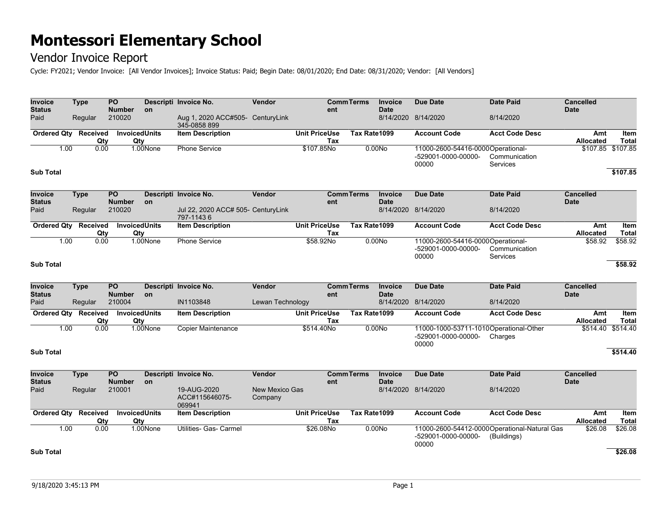### Vendor Invoice Report

Cycle: FY2021; Vendor Invoice: [All Vendor Invoices]; Invoice Status: Paid; Begin Date: 08/01/2020; End Date: 08/31/2020; Vendor: [All Vendors]

| Invoice<br><b>Status</b>        | <b>Type</b>                 |                 | PO<br><b>Number</b>         | <b>on</b> | Descripti Invoice No.                            | Vendor                           | ent                         | <b>CommTerms</b>  | Invoice<br><b>Date</b>        | <b>Due Date</b>                                                   | <b>Date Paid</b>                                            | <b>Cancelled</b><br><b>Date</b> |                      |
|---------------------------------|-----------------------------|-----------------|-----------------------------|-----------|--------------------------------------------------|----------------------------------|-----------------------------|-------------------|-------------------------------|-------------------------------------------------------------------|-------------------------------------------------------------|---------------------------------|----------------------|
| Paid                            | Regular                     |                 | 210020                      |           | Aug 1, 2020 ACC#505- CenturyLink<br>345-0858 899 |                                  |                             |                   |                               | 8/14/2020 8/14/2020                                               | 8/14/2020                                                   |                                 |                      |
|                                 | <b>Ordered Qty Received</b> | Qty             | <b>InvoicedUnits</b><br>Qty |           | <b>Item Description</b>                          |                                  | <b>Unit PriceUse</b><br>Tax | Tax Rate1099      |                               | <b>Account Code</b>                                               | <b>Acct Code Desc</b>                                       | Amt<br><b>Allocated</b>         | Item<br><b>Total</b> |
|                                 | 1.00                        | 0.00            |                             | 1.00None  | <b>Phone Service</b>                             |                                  | \$107.85No                  |                   | 0.00N <sub>o</sub>            | 11000-2600-54416-0000Operational-<br>-529001-0000-00000-<br>00000 | Communication<br>Services                                   |                                 | \$107.85 \$107.85    |
| <b>Sub Total</b>                |                             |                 |                             |           |                                                  |                                  |                             |                   |                               |                                                                   |                                                             |                                 | \$107.85             |
| <b>Invoice</b><br><b>Status</b> | <b>Type</b>                 |                 | <b>PO</b><br><b>Number</b>  | on        | Descripti Invoice No.                            | Vendor                           | ent                         | <b>Comm Terms</b> | <b>Invoice</b><br><b>Date</b> | Due Date                                                          | <b>Date Paid</b>                                            | <b>Cancelled</b><br><b>Date</b> |                      |
| Paid                            | Regular                     |                 | 210020                      |           | Jul 22, 2020 ACC# 505- CenturyLink<br>797-11436  |                                  |                             |                   |                               | 8/14/2020 8/14/2020                                               | 8/14/2020                                                   |                                 |                      |
|                                 | <b>Ordered Qty Received</b> | Qty             | <b>InvoicedUnits</b><br>Qty |           | <b>Item Description</b>                          |                                  | <b>Unit PriceUse</b><br>Tax | Tax Rate1099      |                               | <b>Account Code</b>                                               | <b>Acct Code Desc</b>                                       | Amt<br>Allocated                | Item<br><b>Total</b> |
|                                 | 1.00                        | 0.00            |                             | 1.00None  | <b>Phone Service</b>                             |                                  | \$58.92No                   |                   | 0.00N <sub>o</sub>            | 11000-2600-54416-0000Operational-<br>-529001-0000-00000-<br>00000 | Communication<br><b>Services</b>                            | \$58.92                         | \$58.92              |
| <b>Sub Total</b>                |                             |                 |                             |           |                                                  |                                  |                             |                   |                               |                                                                   |                                                             |                                 | \$58.92              |
| Invoice                         | <b>Type</b>                 |                 | PO                          |           | Descripti Invoice No.                            | Vendor                           |                             | <b>CommTerms</b>  | Invoice                       | <b>Due Date</b>                                                   | <b>Date Paid</b>                                            | <b>Cancelled</b>                |                      |
| <b>Status</b>                   |                             |                 | <b>Number</b>               | <b>on</b> |                                                  |                                  | ent                         |                   | <b>Date</b>                   |                                                                   |                                                             | <b>Date</b>                     |                      |
| Paid                            |                             | Regular         | 210004                      |           | IN1103848                                        | Lewan Technology                 |                             |                   |                               | 8/14/2020 8/14/2020                                               | 8/14/2020                                                   |                                 |                      |
| <b>Ordered Qty</b>              |                             | Received<br>Qty | <b>InvoicedUnits</b><br>Qty |           | <b>Item Description</b>                          |                                  | <b>Unit PriceUse</b><br>Tax | Tax Rate1099      |                               | <b>Account Code</b>                                               | <b>Acct Code Desc</b>                                       | Amt<br>Allocated                | Item<br><b>Total</b> |
|                                 | 1.00                        | 0.00            |                             | 1.00None  | <b>Copier Maintenance</b>                        |                                  | \$514.40No                  |                   | 0.00N <sub>o</sub>            | 11000-1000-53711-1010Operational-Other<br>-529001-0000-00000-     | Charges                                                     | \$514.40                        | \$514.40             |
| <b>Sub Total</b>                |                             |                 |                             |           |                                                  |                                  |                             |                   |                               | 00000                                                             |                                                             |                                 | \$514.40             |
| <b>Invoice</b><br><b>Status</b> | <b>Type</b>                 |                 | <b>PO</b><br><b>Number</b>  | on        | Descripti Invoice No.                            | Vendor                           | ent                         | <b>Comm Terms</b> | <b>Invoice</b><br><b>Date</b> | <b>Due Date</b>                                                   | <b>Date Paid</b>                                            | <b>Cancelled</b><br><b>Date</b> |                      |
| Paid                            | Regular                     |                 | 210001                      |           | 19-AUG-2020<br>ACC#115646075-<br>069941          | <b>New Mexico Gas</b><br>Company |                             |                   |                               | 8/14/2020 8/14/2020                                               | 8/14/2020                                                   |                                 |                      |
|                                 | Ordered Qty Received        | Qty             | <b>InvoicedUnits</b><br>Qty |           | <b>Item Description</b>                          |                                  | <b>Unit PriceUse</b><br>Tax | Tax Rate1099      |                               | <b>Account Code</b>                                               | <b>Acct Code Desc</b>                                       | Amt<br>Allocated                | Item<br><b>Total</b> |
| <b>Sub Total</b>                | 1.00                        | 0.00            |                             | 1.00None  | Utilities- Gas- Carmel                           |                                  | \$26.08No                   |                   | 0.00No                        | -529001-0000-00000-<br>00000                                      | 11000-2600-54412-0000Operational-Natural Gas<br>(Buildings) | \$26.08                         | \$26.08<br>\$26.08   |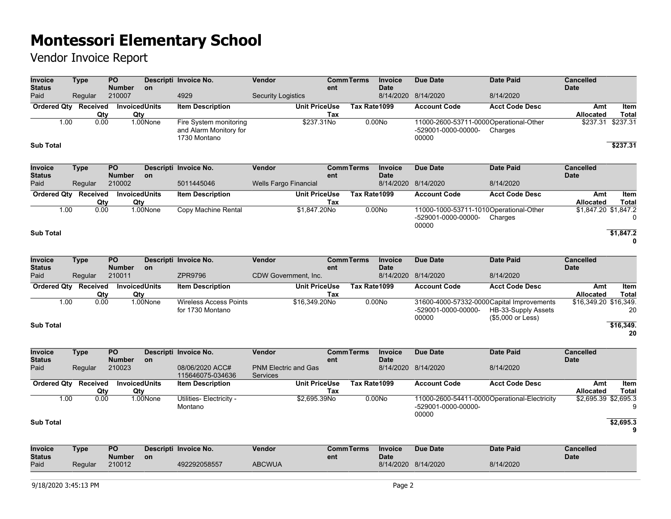| <b>Invoice</b><br><b>Status</b> | <b>Type</b>                 | $\overline{PQ}$<br><b>Number</b> | <b>on</b> | Descripti Invoice No.                                            | Vendor                                         |                      | ent | <b>CommTerms</b> | Invoice<br><b>Date</b>        | <b>Due Date</b>                                                              | <b>Date Paid</b>                         | <b>Cancelled</b><br><b>Date</b> |                      |
|---------------------------------|-----------------------------|----------------------------------|-----------|------------------------------------------------------------------|------------------------------------------------|----------------------|-----|------------------|-------------------------------|------------------------------------------------------------------------------|------------------------------------------|---------------------------------|----------------------|
| Paid                            | Regular                     | 210007                           |           | 4929                                                             | <b>Security Logistics</b>                      |                      |     |                  |                               | 8/14/2020 8/14/2020                                                          | 8/14/2020                                |                                 |                      |
|                                 | Ordered Qty Received<br>Qty | InvoicedUnits<br>Qty             |           | <b>Item Description</b>                                          |                                                | <b>Unit PriceUse</b> | Tax | Tax Rate1099     |                               | <b>Account Code</b>                                                          | <b>Acct Code Desc</b>                    | Amt<br><b>Allocated</b>         | Item<br><b>Total</b> |
| 1.00                            | 0.00                        |                                  | 1.00None  | Fire System monitoring<br>and Alarm Monitory for<br>1730 Montano |                                                | \$237.31No           |     |                  | 0.00N <sub>o</sub>            | 11000-2600-53711-0000Operational-Other<br>-529001-0000-00000-<br>00000       | Charges                                  | \$237.31                        | \$237.31             |
| <b>Sub Total</b>                |                             |                                  |           |                                                                  |                                                |                      |     |                  |                               |                                                                              |                                          |                                 | \$237.31             |
| Invoice<br><b>Status</b>        | <b>Type</b>                 | $\overline{PQ}$<br><b>Number</b> | on        | Descripti Invoice No.                                            | Vendor                                         |                      | ent | <b>CommTerms</b> | <b>Invoice</b><br><b>Date</b> | <b>Due Date</b>                                                              | <b>Date Paid</b>                         | <b>Cancelled</b><br><b>Date</b> |                      |
| Paid                            | Regular                     | 210002                           |           | 5011445046                                                       | <b>Wells Fargo Financial</b>                   |                      |     |                  |                               | 8/14/2020 8/14/2020                                                          | 8/14/2020                                |                                 |                      |
|                                 | Ordered Qty Received<br>Qty | <b>InvoicedUnits</b><br>Qty      |           | <b>Item Description</b>                                          |                                                | <b>Unit PriceUse</b> | Tax | Tax Rate1099     |                               | <b>Account Code</b>                                                          | <b>Acct Code Desc</b>                    | Amt<br>Allocated                | Item<br><b>Total</b> |
| 1.00                            | 0.00                        |                                  | 1.00None  | Copy Machine Rental                                              |                                                | \$1,847.20No         |     |                  | 0.00N <sub>o</sub>            | 11000-1000-53711-1010Operational-Other<br>-529001-0000-00000-<br>00000       | Charges                                  | \$1,847.20 \$1,847.2            | $\mathbf{0}$         |
| <b>Sub Total</b>                |                             |                                  |           |                                                                  |                                                |                      |     |                  |                               |                                                                              |                                          |                                 | \$1,847.2            |
| Invoice<br><b>Status</b>        | <b>Type</b>                 | $\overline{PQ}$<br><b>Number</b> | on        | Descripti Invoice No.                                            | Vendor                                         |                      | ent | <b>CommTerms</b> | <b>Invoice</b><br><b>Date</b> | <b>Due Date</b>                                                              | <b>Date Paid</b>                         | <b>Cancelled</b><br><b>Date</b> |                      |
| Paid                            | Regular                     | 210011                           |           | ZPR9796                                                          | CDW Government, Inc.                           |                      |     | Tax Rate1099     |                               | 8/14/2020 8/14/2020                                                          | 8/14/2020                                |                                 |                      |
|                                 | Ordered Qty Received<br>Qty | <b>InvoicedUnits</b><br>Qty      |           | <b>Item Description</b>                                          |                                                | <b>Unit PriceUse</b> | Tax |                  |                               | <b>Account Code</b>                                                          | <b>Acct Code Desc</b>                    | Amt<br><b>Allocated</b>         | Item<br><b>Total</b> |
| 1.00                            | 0.00                        |                                  | 1.00None  | <b>Wireless Access Points</b><br>for 1730 Montano                |                                                | \$16,349.20No        |     |                  | 0.00No                        | 31600-4000-57332-0000Capital Improvements<br>-529001-0000-00000-<br>00000    | HB-33-Supply Assets<br>(\$5,000 or Less) | \$16,349.20 \$16,349.           | 20                   |
| <b>Sub Total</b>                |                             |                                  |           |                                                                  |                                                |                      |     |                  |                               |                                                                              |                                          |                                 | \$16,349.<br>20      |
| Invoice<br><b>Status</b>        | <b>Type</b>                 | <b>PO</b><br><b>Number</b>       | on        | Descripti Invoice No.                                            | Vendor                                         |                      | ent | <b>CommTerms</b> | Invoice<br><b>Date</b>        | <b>Due Date</b>                                                              | <b>Date Paid</b>                         | <b>Cancelled</b><br><b>Date</b> |                      |
| Paid                            | Regular                     | 210023                           |           | 08/06/2020 ACC#<br>115646075-034636                              | <b>PNM Electric and Gas</b><br><b>Services</b> |                      |     |                  |                               | 8/14/2020 8/14/2020                                                          | 8/14/2020                                |                                 |                      |
| <b>Ordered Qty</b>              | Received<br>Qty             | <b>InvoicedUnits</b><br>Qty      |           | <b>Item Description</b>                                          |                                                | <b>Unit PriceUse</b> | Tax | Tax Rate1099     |                               | <b>Account Code</b>                                                          | <b>Acct Code Desc</b>                    | Amt<br><b>Allocated</b>         | Item<br><b>Total</b> |
| 1.00                            | 0.00                        |                                  | 1.00None  | Utilities- Electricity -<br>Montano                              |                                                | \$2,695.39No         |     |                  | 0.00No                        | 11000-2600-54411-0000Operational-Electricity<br>-529001-0000-00000-<br>00000 |                                          | \$2,695.39 \$2,695.3            | 9                    |
| <b>Sub Total</b>                |                             |                                  |           |                                                                  |                                                |                      |     |                  |                               |                                                                              |                                          |                                 | \$2,695.3<br>9       |
| Invoice<br><b>Status</b>        | <b>Type</b>                 | <b>PO</b><br><b>Number</b>       | on        | Descripti Invoice No.                                            | Vendor                                         |                      | ent | <b>CommTerms</b> | <b>Invoice</b><br><b>Date</b> | <b>Due Date</b>                                                              | <b>Date Paid</b>                         | <b>Cancelled</b><br><b>Date</b> |                      |
| Paid                            | Regular                     | 210012                           |           | 492292058557                                                     | <b>ABCWUA</b>                                  |                      |     |                  |                               | 8/14/2020 8/14/2020                                                          | 8/14/2020                                |                                 |                      |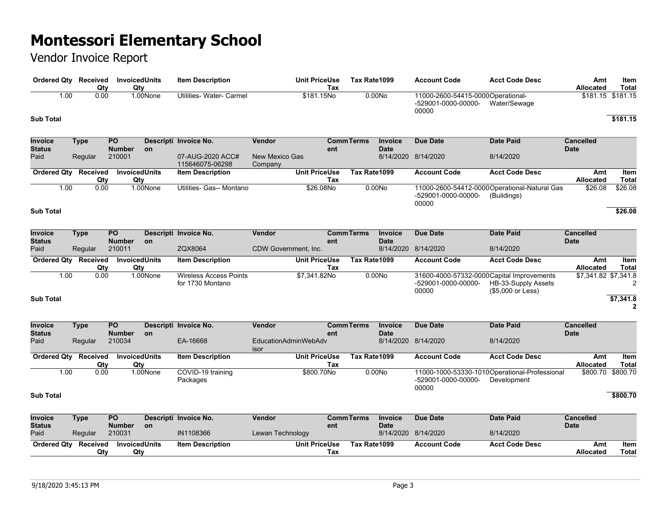| Ordered Qty Received            |             | Qty             | <b>InvoicedUnits</b><br>Qty      |          | <b>Item Description</b>                           |                                  | <b>Unit PriceUse</b><br>Tax | Tax Rate1099     |                               | <b>Account Code</b>                                                       | <b>Acct Code Desc</b>                                        | Amt<br><b>Allocated</b>         | Item<br><b>Total</b>      |
|---------------------------------|-------------|-----------------|----------------------------------|----------|---------------------------------------------------|----------------------------------|-----------------------------|------------------|-------------------------------|---------------------------------------------------------------------------|--------------------------------------------------------------|---------------------------------|---------------------------|
| 1.00                            |             | 0.00            |                                  | 1.00None | Utilities- Water- Carmel                          |                                  | \$181.15No                  |                  | 0.00No                        | 11000-2600-54415-0000Operational-<br>-529001-0000-00000-<br>00000         | Water/Sewage                                                 | $$181.15$ $$181.15$             |                           |
| <b>Sub Total</b>                |             |                 |                                  |          |                                                   |                                  |                             |                  |                               |                                                                           |                                                              |                                 | \$181.15                  |
| Invoice<br><b>Status</b>        | <b>Type</b> |                 | PO<br><b>Number</b>              | on       | Descripti Invoice No.                             | Vendor                           | ent                         | <b>CommTerms</b> | <b>Invoice</b><br><b>Date</b> | <b>Due Date</b>                                                           | <b>Date Paid</b>                                             | <b>Cancelled</b><br><b>Date</b> |                           |
| Paid                            | Regular     |                 | 210001                           |          | 07-AUG-2020 ACC#<br>115646075-06298               | <b>New Mexico Gas</b><br>Company |                             |                  |                               | 8/14/2020 8/14/2020                                                       | 8/14/2020                                                    |                                 |                           |
| <b>Ordered Qty</b>              |             | Received<br>Qty | <b>InvoicedUnits</b><br>Qty      |          | <b>Item Description</b>                           |                                  | <b>Unit PriceUse</b><br>Tax | Tax Rate1099     |                               | <b>Account Code</b>                                                       | <b>Acct Code Desc</b>                                        | Amt<br><b>Allocated</b>         | Item<br><b>Total</b>      |
| 1.00                            |             | 0.00            |                                  | 1.00None | Utilities- Gas-- Montano                          |                                  | \$26.08No                   |                  | 0.00N <sub>o</sub>            | -529001-0000-00000-<br>00000                                              | 11000-2600-54412-0000 Operational-Natural Gas<br>(Buildings) | \$26.08                         | \$26.08                   |
| <b>Sub Total</b>                |             |                 |                                  |          |                                                   |                                  |                             |                  |                               |                                                                           |                                                              |                                 | \$26.08                   |
| Invoice<br><b>Status</b>        | <b>Type</b> |                 | <b>PO</b><br><b>Number</b>       | on       | Descripti Invoice No.                             | Vendor                           | ent                         | <b>CommTerms</b> | Invoice<br><b>Date</b>        | Due Date                                                                  | <b>Date Paid</b>                                             | <b>Cancelled</b><br><b>Date</b> |                           |
| Paid                            |             | Regular         | 210011                           |          | ZQX8064                                           | <b>CDW Government. Inc.</b>      |                             |                  |                               | 8/14/2020 8/14/2020                                                       | 8/14/2020                                                    |                                 |                           |
| <b>Ordered Qty Received</b>     |             | Qty             | <b>InvoicedUnits</b><br>Qty      |          | <b>Item Description</b>                           |                                  | <b>Unit PriceUse</b><br>Tax | Tax Rate1099     |                               | <b>Account Code</b>                                                       | <b>Acct Code Desc</b>                                        | Amt<br>Allocated                | Item<br><b>Total</b>      |
| 1.00                            |             | 0.00            |                                  | 1.00None | <b>Wireless Access Points</b><br>for 1730 Montano |                                  | \$7,341.82No                |                  | 0.00N <sub>o</sub>            | 31600-4000-57332-0000Capital Improvements<br>-529001-0000-00000-<br>00000 | HB-33-Supply Assets<br>(\$5,000 or Less)                     | \$7,341.82 \$7,341.8            | 2                         |
| <b>Sub Total</b>                |             |                 |                                  |          |                                                   |                                  |                             |                  |                               |                                                                           |                                                              |                                 | \$7,341.8<br>$\mathbf{2}$ |
| <b>Invoice</b><br><b>Status</b> | <b>Type</b> |                 | PO<br><b>Number</b>              | on       | Descripti Invoice No.                             | Vendor                           | ent                         | <b>CommTerms</b> | <b>Invoice</b><br><b>Date</b> | <b>Due Date</b>                                                           | <b>Date Paid</b>                                             | <b>Cancelled</b><br><b>Date</b> |                           |
| Paid                            |             | Regular         | 210034                           |          | EA-16668                                          | EducationAdminWebAdv<br>isor     |                             |                  |                               | 8/14/2020 8/14/2020                                                       | 8/14/2020                                                    |                                 |                           |
| Ordered Qty Received            |             | Qty             | <b>InvoicedUnits</b><br>Qty      |          | <b>Item Description</b>                           |                                  | Unit PriceUse<br>Tax        | Tax Rate1099     |                               | <b>Account Code</b>                                                       | <b>Acct Code Desc</b>                                        | Amt<br>Allocated                | Item<br>Total             |
| 1.00                            |             | 0.00            |                                  | 1.00None | COVID-19 training<br>Packages                     |                                  | \$800.70No                  |                  | 0.00N <sub>o</sub>            | -529001-0000-00000-<br>00000                                              | 11000-1000-53330-1010Operational-Professional<br>Development | \$800.70                        | \$800.70                  |
| <b>Sub Total</b>                |             |                 |                                  |          |                                                   |                                  |                             |                  |                               |                                                                           |                                                              |                                 | \$800.70                  |
| <b>Invoice</b><br><b>Status</b> | <b>Type</b> |                 | $\overline{PQ}$<br><b>Number</b> | on       | Descripti Invoice No.                             | Vendor                           | ent                         | <b>CommTerms</b> | <b>Invoice</b><br><b>Date</b> | <b>Due Date</b>                                                           | <b>Date Paid</b>                                             | <b>Cancelled</b><br><b>Date</b> |                           |
| Paid                            |             | Regular         | 210031                           |          | IN1108366                                         | Lewan Technology                 |                             |                  |                               | 8/14/2020 8/14/2020                                                       | 8/14/2020                                                    |                                 |                           |
| <b>Ordered Qty</b>              |             | Received<br>Qty | <b>InvoicedUnits</b><br>Qty      |          | <b>Item Description</b>                           |                                  | <b>Unit PriceUse</b><br>Tax | Tax Rate1099     |                               | <b>Account Code</b>                                                       | <b>Acct Code Desc</b>                                        | Amt<br>Allocated                | Item<br><b>Total</b>      |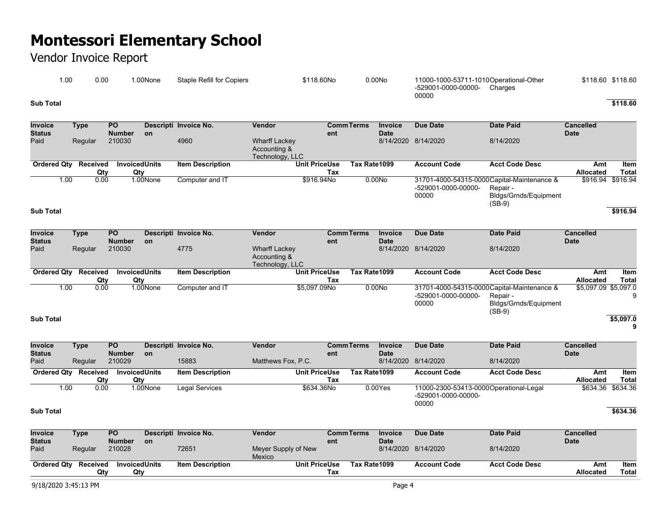### Vendor Invoice Report

| 00. ،     | 0.00 | .00None | Staple Refill for Copiers | \$118.60No | 0.00N <sub>O</sub> | 11000-1000-53711-1010Operational-Other<br>-529001-0000-00000-<br>Charges<br>00000 | \$118.60 \$118.60 |
|-----------|------|---------|---------------------------|------------|--------------------|-----------------------------------------------------------------------------------|-------------------|
| Sub Total |      |         |                           |            |                    |                                                                                   | \$118.60          |

| <b>Invoice</b><br><b>Status</b> | Type            | <b>PO</b><br><b>Number</b> | <b>on</b>            | Descripti Invoice No.   | Vendor                                                  | Comm Terms<br>ent    |                    | <b>Invoice</b><br><b>Date</b> | Due Date            | Date Paid                                   | <b>Cancelled</b><br><b>Date</b> |                   |
|---------------------------------|-----------------|----------------------------|----------------------|-------------------------|---------------------------------------------------------|----------------------|--------------------|-------------------------------|---------------------|---------------------------------------------|---------------------------------|-------------------|
| Paid                            | Regular         | 210030                     |                      | 4960                    | <b>Wharff Lackey</b><br>Accounting &<br>Technology, LLC |                      |                    |                               | 8/14/2020 8/14/2020 | 8/14/2020                                   |                                 |                   |
| <b>Ordered Qty</b>              | <b>Received</b> |                            | <b>InvoicedUnits</b> | <b>Item Description</b> |                                                         | <b>Unit PriceUse</b> | Tax Rate1099       |                               | <b>Account Code</b> | <b>Acct Code Desc</b>                       | Amt                             | <b>Item</b>       |
|                                 | Qtv             | Qtv                        |                      |                         |                                                         | Tax                  |                    |                               |                     |                                             | Allocated                       | Total             |
| 1.00                            | 0.00            |                            | 1.00None             | Computer and IT         |                                                         | \$916,94No           | 0.00N <sub>O</sub> |                               |                     | 31701-4000-54315-0000 Capital-Maintenance & |                                 | \$916.94 \$916.94 |
|                                 |                 |                            |                      |                         |                                                         |                      |                    |                               | -529001-0000-00000- | Repair -                                    |                                 |                   |
|                                 |                 |                            |                      |                         |                                                         |                      |                    |                               | 00000               | Bldgs/Grnds/Equipment                       |                                 |                   |
| <b>Sub Total</b>                |                 |                            |                      |                         |                                                         |                      |                    |                               |                     | $(SB-9)$                                    |                                 | \$916.94          |

| <b>Invoice</b><br>Status | Type    | PO.<br><b>Number</b> | <b>on</b> | Descripti Invoice No.   | Vendor                                                  | <b>CommTerms</b><br>ent | Invoice<br><b>Date</b> | Due Date                     | <b>Date Paid</b>                                                                                    | <b>Cancelled</b><br><b>Date</b> |           |
|--------------------------|---------|----------------------|-----------|-------------------------|---------------------------------------------------------|-------------------------|------------------------|------------------------------|-----------------------------------------------------------------------------------------------------|---------------------------------|-----------|
| Paid                     | Regular | 210030               |           | 4775                    | <b>Wharff Lackey</b><br>Accounting &<br>Technology, LLC |                         |                        | 8/14/2020 8/14/2020          | 8/14/2020                                                                                           |                                 |           |
| Ordered Qty Received     |         | <b>InvoicedUnits</b> |           | <b>Item Description</b> | <b>Unit PriceUse</b>                                    | Tax Rate1099            |                        | <b>Account Code</b>          | <b>Acct Code Desc</b>                                                                               | Amt                             | Item      |
|                          | Qty     | Qty                  |           |                         |                                                         | Tax                     |                        |                              |                                                                                                     | <b>Allocated</b>                | Total     |
| 1.00                     | 0.00    |                      | 1.00None  | Computer and IT         | \$5.097.09No                                            |                         | 0.00N <sub>O</sub>     | -529001-0000-00000-<br>00000 | 31701-4000-54315-0000 Capital-Maintenance &<br>Repair -<br><b>Bldgs/Grnds/Equipment</b><br>$(SB-9)$ | \$5,097.09 \$5,097.0            |           |
| <b>Sub Total</b>         |         |                      |           |                         |                                                         |                         |                        |                              |                                                                                                     |                                 | \$5,097.0 |

**9**

| <b>Invoice</b>     | Type     | <b>PO</b>            |           | Descripti Invoice No.   | <b>Vendor</b>        | <b>CommTerms</b> | <b>Invoice</b> | Due Date                                                               | Date Paid             | <b>Cancelled</b>  |              |
|--------------------|----------|----------------------|-----------|-------------------------|----------------------|------------------|----------------|------------------------------------------------------------------------|-----------------------|-------------------|--------------|
| <b>Status</b>      |          | <b>Number</b>        | <b>on</b> |                         |                      | ent              | <b>Date</b>    |                                                                        |                       | <b>Date</b>       |              |
| Paid               | Regular  | 210029               |           | 15883                   | Matthews Fox, P.C.   |                  |                | 8/14/2020 8/14/2020                                                    | 8/14/2020             |                   |              |
| <b>Ordered Qty</b> | Received | <b>InvoicedUnits</b> |           | <b>Item Description</b> | <b>Unit PriceUse</b> | Tax Rate1099     |                | <b>Account Code</b>                                                    | <b>Acct Code Desc</b> | Amt               | ltem         |
|                    | Qtv      | Qty                  |           |                         |                      | Tax              |                |                                                                        |                       | <b>Allocated</b>  | <b>Total</b> |
| 1.00               | 0.00     |                      | 1.00None  | Legal Services          | \$634.36No           |                  | $0.00Y$ es     | 11000-2300-53413-0000Operational-Legal<br>-529001-0000-00000-<br>00000 |                       | \$634.36 \$634.36 |              |

**Sub Total \$634.36**

| Invoice              | Type    | <b>PO</b>            |           | Descripti Invoice No.   | Vendor               | Comm Terms   | <b>Invoice</b> | Due Date            | Date Paid             | Cancelled        |       |
|----------------------|---------|----------------------|-----------|-------------------------|----------------------|--------------|----------------|---------------------|-----------------------|------------------|-------|
| <b>Status</b>        |         | <b>Number</b>        | <b>on</b> |                         |                      | ent          | <b>Date</b>    |                     |                       | <b>Date</b>      |       |
| Paid                 | Regular | 210028               |           | 72651                   | Meyer Supply of New  |              |                | 8/14/2020 8/14/2020 | 8/14/2020             |                  |       |
|                      |         |                      |           |                         | <b>Mexico</b>        |              |                |                     |                       |                  |       |
| Ordered Qtv Received |         | <b>InvoicedUnits</b> |           | <b>Item Description</b> | <b>Unit PriceUse</b> | Tax Rate1099 |                | <b>Account Code</b> | <b>Acct Code Desc</b> | Amt              | ltem  |
|                      | Qty     | Qtv                  |           |                         |                      | Tax          |                |                     |                       | <b>Allocated</b> | Total |
|                      |         |                      |           |                         |                      |              |                |                     |                       |                  |       |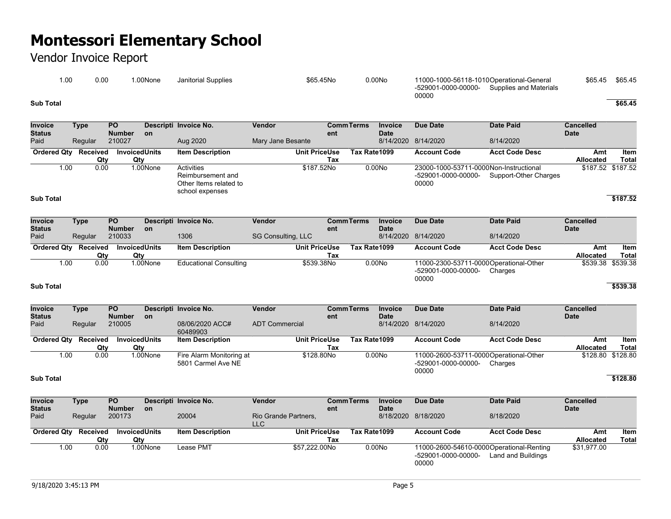| .00       | 0.00 | .00None | Janitorial Supplies | \$65.45No | 0.00No | 11000-1000-56118-1010Operational-General<br>-529001-0000-00000-<br>Supplies and Materials<br>00000 | \$65.45 | \$65.45 |
|-----------|------|---------|---------------------|-----------|--------|----------------------------------------------------------------------------------------------------|---------|---------|
| Sub Total |      |         |                     |           |        |                                                                                                    |         | \$65.45 |

| Invoice<br><b>Status</b>        | <b>Type</b>                 | $\overline{PO}$<br><b>Number</b>   | <b>on</b>            | Descripti Invoice No.                                                               | <b>Vendor</b>                      | ent                         | <b>CommTerms</b> | <b>Invoice</b><br><b>Date</b> | <b>Due Date</b>                                                          | <b>Date Paid</b>      | <b>Cancelled</b><br><b>Date</b> |                      |
|---------------------------------|-----------------------------|------------------------------------|----------------------|-------------------------------------------------------------------------------------|------------------------------------|-----------------------------|------------------|-------------------------------|--------------------------------------------------------------------------|-----------------------|---------------------------------|----------------------|
| Paid                            | Regular                     | 210027                             |                      | Aug 2020                                                                            | Mary Jane Besante                  |                             |                  | 8/14/2020                     | 8/14/2020                                                                | 8/14/2020             |                                 |                      |
|                                 | <b>Ordered Qty Received</b> | Qty<br>Qty                         | <b>InvoicedUnits</b> | <b>Item Description</b>                                                             |                                    | <b>Unit PriceUse</b><br>Tax | Tax Rate1099     |                               | <b>Account Code</b>                                                      | <b>Acct Code Desc</b> | Amt<br>Allocated                | Item<br><b>Total</b> |
|                                 | 1.00                        | 0.00                               | 1.00None             | <b>Activities</b><br>Reimbursement and<br>Other Items related to<br>school expenses |                                    | \$187.52No                  |                  | 0.00N <sub>o</sub>            | 23000-1000-53711-0000Non-Instructional<br>-529001-0000-00000-<br>00000   | Support-Other Charges |                                 | \$187.52 \$187.52    |
| <b>Sub Total</b>                |                             |                                    |                      |                                                                                     |                                    |                             |                  |                               |                                                                          |                       |                                 | \$187.52             |
| <b>Invoice</b><br><b>Status</b> | <b>Type</b>                 | <b>PO</b><br><b>Number</b>         | <b>on</b>            | Descripti Invoice No.                                                               | Vendor                             | ent                         | <b>CommTerms</b> | Invoice<br><b>Date</b>        | <b>Due Date</b>                                                          | <b>Date Paid</b>      | <b>Cancelled</b><br><b>Date</b> |                      |
| Paid                            | Regular                     | 210033                             |                      | 1306                                                                                | SG Consulting, LLC                 |                             |                  |                               | 8/14/2020 8/14/2020                                                      | 8/14/2020             |                                 |                      |
|                                 | Ordered Qty Received        | <b>InvoicedUnits</b><br>Qty<br>Qty |                      | <b>Item Description</b>                                                             |                                    | <b>Unit PriceUse</b><br>Tax | Tax Rate1099     |                               | <b>Account Code</b>                                                      | <b>Acct Code Desc</b> | Amt<br><b>Allocated</b>         | Item<br><b>Total</b> |
|                                 | 1.00                        | 0.00                               | 1.00None             | <b>Educational Consulting</b>                                                       |                                    | \$539.38No                  |                  | 0.00N <sub>o</sub>            | 11000-2300-53711-0000Operational-Other<br>-529001-0000-00000-<br>00000   | Charges               | \$539.38                        | \$539.38             |
| <b>Sub Total</b>                |                             |                                    |                      |                                                                                     |                                    |                             |                  |                               |                                                                          |                       |                                 | \$539.38             |
| <b>Invoice</b><br>Status        | <b>Type</b>                 | $\overline{PQ}$<br><b>Number</b>   | <b>on</b>            | Descripti Invoice No.                                                               | Vendor                             | ent                         | <b>CommTerms</b> | <b>Invoice</b><br><b>Date</b> | <b>Due Date</b>                                                          | <b>Date Paid</b>      | <b>Cancelled</b><br><b>Date</b> |                      |
| Paid                            | Regular                     | 210005                             |                      | 08/06/2020 ACC#<br>60489903                                                         | <b>ADT Commercial</b>              |                             |                  | 8/14/2020                     | 8/14/2020                                                                | 8/14/2020             |                                 |                      |
| Ordered Qty                     | Received                    | <b>InvoicedUnits</b><br>Qty<br>Qty |                      | <b>Item Description</b>                                                             |                                    | <b>Unit PriceUse</b><br>Tax | Tax Rate1099     |                               | <b>Account Code</b>                                                      | <b>Acct Code Desc</b> | Amt<br>Allocated                | Item<br><b>Total</b> |
|                                 | 1.00                        | 0.00                               | 1.00None             | Fire Alarm Monitoring at<br>5801 Carmel Ave NE                                      |                                    | \$128.80No                  |                  | 0.00N <sub>o</sub>            | 11000-2600-53711-0000Operational-Other<br>-529001-0000-00000-<br>00000   | Charges               |                                 | \$128.80 \$128.80    |
| <b>Sub Total</b>                |                             |                                    |                      |                                                                                     |                                    |                             |                  |                               |                                                                          |                       |                                 | \$128.80             |
| <b>Invoice</b><br><b>Status</b> | <b>Type</b>                 | <b>PO</b><br><b>Number</b>         | on                   | Descripti Invoice No.                                                               | Vendor                             | ent                         | <b>CommTerms</b> | Invoice<br><b>Date</b>        | <b>Due Date</b>                                                          | <b>Date Paid</b>      | <b>Cancelled</b><br><b>Date</b> |                      |
| Paid                            | Regular                     | 200173                             |                      | 20004                                                                               | Rio Grande Partners,<br><b>LLC</b> |                             |                  |                               | 8/18/2020 8/18/2020                                                      | 8/18/2020             |                                 |                      |
|                                 | <b>Ordered Qty Received</b> | Qty<br>Qty                         | <b>InvoicedUnits</b> | <b>Item Description</b>                                                             |                                    | <b>Unit PriceUse</b><br>Tax | Tax Rate1099     |                               | <b>Account Code</b>                                                      | <b>Acct Code Desc</b> | Amt<br>Allocated                | Item<br>Total        |
|                                 | 1.00                        | 0.00                               | 1.00None             | <b>Lease PMT</b>                                                                    |                                    | \$57,222.00No               |                  | 0.00N <sub>o</sub>            | 11000-2600-54610-0000Operational-Renting<br>-529001-0000-00000-<br>00000 | Land and Buildings    | \$31,977.00                     |                      |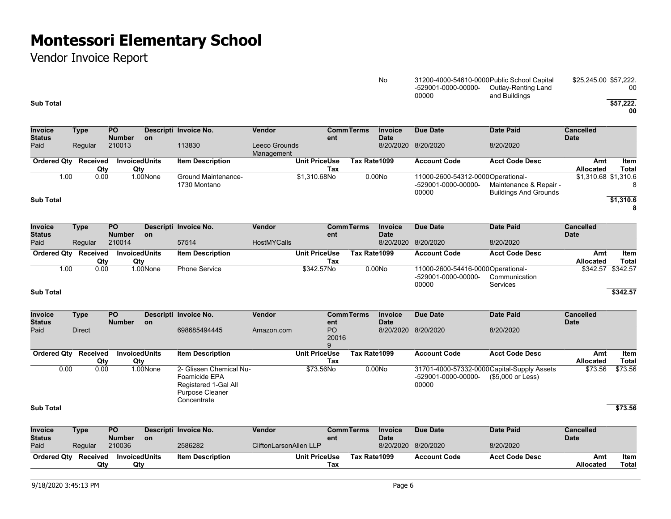Vendor Invoice Report

#### No 31200-4000-54610-0000 Public School Capital -529001-0000-00000- Outlay-Renting Land 00000 and Buildings \$25,245.00 \$57,222. 00

**00**

| Invoice<br><b>Status</b> | <b>Type</b>            | <b>PO</b><br><b>Number</b> | on                          | Descripti Invoice No.                                                                                     | Vendor                        | ent                         | <b>CommTerms</b>  | <b>Invoice</b><br><b>Date</b> | <b>Due Date</b>                                                             | <b>Date Paid</b>                                       | <b>Cancelled</b><br><b>Date</b> |                      |
|--------------------------|------------------------|----------------------------|-----------------------------|-----------------------------------------------------------------------------------------------------------|-------------------------------|-----------------------------|-------------------|-------------------------------|-----------------------------------------------------------------------------|--------------------------------------------------------|---------------------------------|----------------------|
| Paid                     | Regular                | 210013                     |                             | 113830                                                                                                    | Leeco Grounds<br>Management   |                             |                   | 8/20/2020                     | 8/20/2020                                                                   | 8/20/2020                                              |                                 |                      |
| <b>Ordered Qtv</b>       | Received<br>Qty        |                            | <b>InvoicedUnits</b><br>Qty | <b>Item Description</b>                                                                                   |                               | <b>Unit PriceUse</b><br>Tax | Tax Rate1099      |                               | <b>Account Code</b>                                                         | <b>Acct Code Desc</b>                                  | Amt<br><b>Allocated</b>         | Item<br><b>Total</b> |
| 1.00<br>Sub Total        | 0.00                   |                            | 1.00None                    | Ground Maintenance-<br>1730 Montano                                                                       |                               | \$1,310.68No                |                   | 0.00N <sub>O</sub>            | 11000-2600-54312-0000Operational-<br>-529001-0000-00000-<br>00000           | Maintenance & Repair -<br><b>Buildings And Grounds</b> | \$1,310.68 \$1,310.6            | 8<br>\$1,310.6<br>8  |
| Invoice<br>Status        | <b>Type</b>            | PO<br><b>Number</b>        | on                          | Descripti Invoice No.                                                                                     | <b>Vendor</b>                 | ent                         | <b>CommTerms</b>  | <b>Invoice</b><br><b>Date</b> | <b>Due Date</b>                                                             | <b>Date Paid</b>                                       | <b>Cancelled</b><br><b>Date</b> |                      |
| Paid                     | Regular                | 210014                     |                             | 57514                                                                                                     | <b>HostMYCalls</b>            |                             |                   | 8/20/2020 8/20/2020           |                                                                             | 8/20/2020                                              |                                 |                      |
| <b>Ordered Qtv</b>       | Received<br>Qty        |                            | <b>InvoicedUnits</b><br>Qty | <b>Item Description</b>                                                                                   |                               | <b>Unit PriceUse</b><br>Tax | Tax Rate1099      |                               | <b>Account Code</b>                                                         | <b>Acct Code Desc</b>                                  | Amt<br>Allocated                | Item<br><b>Total</b> |
| 1.00                     | 0.00                   |                            | 1.00None                    | <b>Phone Service</b>                                                                                      |                               | \$342.57No                  |                   | 0.00N <sub>O</sub>            | 11000-2600-54416-0000Operational-<br>-529001-0000-00000-<br>00000           | Communication<br>Services                              | \$342.57                        | \$342.57             |
| Sub Total                |                        |                            |                             |                                                                                                           |                               |                             |                   |                               |                                                                             |                                                        |                                 | \$342.57             |
| Invoice                  | <b>Type</b>            | PO<br><b>Number</b>        |                             | Descripti Invoice No.                                                                                     | Vendor                        |                             | <b>CommTerms</b>  | <b>Invoice</b><br><b>Date</b> | Due Date                                                                    | <b>Date Paid</b>                                       | <b>Cancelled</b><br><b>Date</b> |                      |
| Status<br>Paid           | <b>Direct</b>          |                            | on                          | 698685494445                                                                                              | Amazon.com                    | ent<br>PO<br>20016<br>9     |                   | 8/20/2020 8/20/2020           |                                                                             | 8/20/2020                                              |                                 |                      |
| <b>Ordered Qtv</b>       | Received<br>Qty        |                            | <b>InvoicedUnits</b><br>Qty | <b>Item Description</b>                                                                                   |                               | <b>Unit PriceUse</b><br>Tax | Tax Rate1099      |                               | <b>Account Code</b>                                                         | <b>Acct Code Desc</b>                                  | Amt<br>Allocated                | Item<br><b>Total</b> |
| 0.00                     | 0.00                   |                            | 1.00None                    | 2- Glissen Chemical Nu-<br>Foamicide EPA<br>Registered 1-Gal All<br><b>Purpose Cleaner</b><br>Concentrate |                               | \$73.56No                   |                   | 0.00N <sub>o</sub>            | 31701-4000-57332-0000 Capital-Supply Assets<br>-529001-0000-00000-<br>00000 | (\$5,000 or Less)                                      | \$73.56                         | \$73.56              |
| Sub Total                |                        |                            |                             |                                                                                                           |                               |                             |                   |                               |                                                                             |                                                        |                                 | \$73.56              |
| <b>Invoice</b><br>Status | <b>Type</b>            | <b>PO</b><br><b>Number</b> | on                          | Descripti Invoice No.                                                                                     | Vendor                        | ent                         | <b>Comm Terms</b> | <b>Invoice</b><br><b>Date</b> | <b>Due Date</b>                                                             | <b>Date Paid</b>                                       | <b>Cancelled</b><br><b>Date</b> |                      |
| Paid                     | Regular                | 210036                     |                             | 2586282                                                                                                   | <b>CliftonLarsonAllen LLP</b> |                             |                   | 8/20/2020                     | 8/20/2020                                                                   | 8/20/2020                                              |                                 |                      |
| <b>Ordered Qty</b>       | <b>Received</b><br>Qty |                            | <b>InvoicedUnits</b><br>Qty | <b>Item Description</b>                                                                                   |                               | <b>Unit PriceUse</b><br>Tax | Tax Rate1099      |                               | <b>Account Code</b>                                                         | <b>Acct Code Desc</b>                                  | Amt<br><b>Allocated</b>         | Item<br><b>Total</b> |

**Sub Total \$57,222.**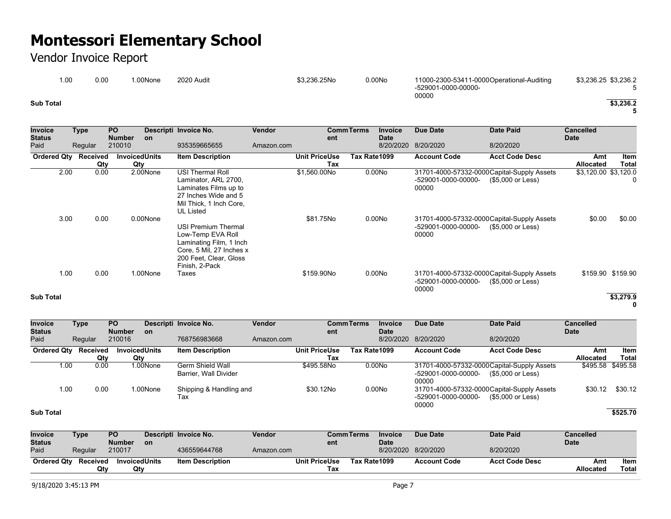### Vendor Invoice Report

| 00. ا     | 0.00 | .00None | 2020 Audit | \$3.236.25No | 0.00N <sub>O</sub> | 11000-2300-53411-0000Operational-Auditing<br>-529001-0000-00000- | \$3,236.25 \$3,236.2 |
|-----------|------|---------|------------|--------------|--------------------|------------------------------------------------------------------|----------------------|
| Sub Total |      |         |            |              |                    | 00000                                                            | \$3.236.2            |

**5**

| <b>Invoice</b>        | <b>Type</b> | <b>PO</b>               |                      | Descripti Invoice No.                       | Vendor     |                      | <b>CommTerms</b> | <b>Invoice</b>           | <b>Due Date</b>     | <b>Date Paid</b>                            | <b>Cancelled</b>     |                   |
|-----------------------|-------------|-------------------------|----------------------|---------------------------------------------|------------|----------------------|------------------|--------------------------|---------------------|---------------------------------------------|----------------------|-------------------|
| <b>Status</b><br>Paid | Regular     | <b>Number</b><br>210010 | <b>on</b>            | 935359665655                                | Amazon.com | ent                  |                  | <b>Date</b><br>8/20/2020 | 8/20/2020           | 8/20/2020                                   | <b>Date</b>          |                   |
| <b>Ordered Qty</b>    | Received    |                         | <b>InvoicedUnits</b> | <b>Item Description</b>                     |            | <b>Unit PriceUse</b> | Tax Rate1099     |                          | <b>Account Code</b> | <b>Acct Code Desc</b>                       | Amt                  | Item              |
|                       | Qty         | Qtv                     |                      |                                             |            | Tax                  |                  |                          |                     |                                             | Allocated            | <b>Total</b>      |
| 2.00                  | 0.00        |                         | 2.00None             | <b>USI Thermal Roll</b>                     |            | \$1,560.00No         |                  | 0.00N <sub>O</sub>       |                     | 31701-4000-57332-0000 Capital-Supply Assets | \$3,120.00 \$3,120.0 |                   |
|                       |             |                         |                      | Laminator, ARL 2700,                        |            |                      |                  |                          | -529001-0000-00000- | (\$5,000 or Less)                           |                      |                   |
|                       |             |                         |                      | Laminates Films up to                       |            |                      |                  |                          | 00000               |                                             |                      |                   |
|                       |             |                         |                      | 27 Inches Wide and 5                        |            |                      |                  |                          |                     |                                             |                      |                   |
|                       |             |                         |                      | Mil Thick, 1 Inch Core,<br><b>UL Listed</b> |            |                      |                  |                          |                     |                                             |                      |                   |
| 3.00                  | 0.00        |                         | 0.00None             |                                             |            | \$81.75No            |                  | 0.00N <sub>O</sub>       |                     | 31701-4000-57332-0000 Capital-Supply Assets | \$0.00               | \$0.00            |
|                       |             |                         |                      | <b>USI Premium Thermal</b>                  |            |                      |                  |                          | -529001-0000-00000- | (\$5,000 or Less)                           |                      |                   |
|                       |             |                         |                      | Low-Temp EVA Roll                           |            |                      |                  |                          | 00000               |                                             |                      |                   |
|                       |             |                         |                      | Laminating Film, 1 Inch                     |            |                      |                  |                          |                     |                                             |                      |                   |
|                       |             |                         |                      | Core, 5 Mil, 27 Inches x                    |            |                      |                  |                          |                     |                                             |                      |                   |
|                       |             |                         |                      | 200 Feet, Clear, Gloss                      |            |                      |                  |                          |                     |                                             |                      |                   |
|                       |             |                         |                      | Finish, 2-Pack                              |            |                      |                  |                          |                     |                                             |                      |                   |
| 1.00                  | 0.00        |                         | 1.00None             | Taxes                                       |            | \$159,90No           |                  | 0.00N <sub>O</sub>       |                     | 31701-4000-57332-0000 Capital-Supply Assets |                      | \$159.90 \$159.90 |
|                       |             |                         |                      |                                             |            |                      |                  |                          | -529001-0000-00000- | (\$5,000 or Less)                           |                      |                   |
|                       |             |                         |                      |                                             |            |                      |                  |                          | 00000               |                                             |                      |                   |
| <b>Sub Total</b>      |             |                         |                      |                                             |            |                      |                  |                          |                     |                                             |                      | \$3,279.9         |

**0**

| <b>Invoice</b>     | Type     | <b>PO</b>            |           | Descripti Invoice No.                     | Vendor     |               | <b>CommTerms</b> | Invoice            | Due Date                                                                    | <b>Date Paid</b>                                                 | <b>Cancelled</b>  |         |
|--------------------|----------|----------------------|-----------|-------------------------------------------|------------|---------------|------------------|--------------------|-----------------------------------------------------------------------------|------------------------------------------------------------------|-------------------|---------|
| <b>Status</b>      |          | <b>Number</b>        | <b>on</b> |                                           |            | ent           |                  | <b>Date</b>        |                                                                             |                                                                  | <b>Date</b>       |         |
| Paid               | Regular  | 210016               |           | 768756983668                              | Amazon.com |               |                  |                    | 8/20/2020 8/20/2020                                                         | 8/20/2020                                                        |                   |         |
| <b>Ordered Qtv</b> | Received | <b>InvoicedUnits</b> |           | <b>Item Description</b>                   |            | Unit PriceUse | Tax Rate1099     |                    | <b>Account Code</b>                                                         | <b>Acct Code Desc</b>                                            | Amt               | Item    |
|                    | Qty      | Qty                  |           |                                           |            | Tax           |                  |                    |                                                                             |                                                                  | <b>Allocated</b>  | Total   |
| 1.00               | 0.00     |                      | 1.00None  | Germ Shield Wall<br>Barrier, Wall Divider |            | \$495,58No    |                  | 0.00N <sub>0</sub> | -529001-0000-00000-<br>00000                                                | 31701-4000-57332-0000 Capital-Supply Assets<br>(\$5,000 or Less) | \$495.58 \$495.58 |         |
| 1.00               | 0.00     |                      | 1.00None  | Shipping & Handling and<br>Tax            |            | \$30.12No     |                  | 0.00N <sub>o</sub> | 31701-4000-57332-0000 Capital-Supply Assets<br>-529001-0000-00000-<br>00000 | (\$5,000 or Less)                                                | \$30.12           | \$30.12 |

**Sub Total \$525.70**

| <b>Invoice</b>     | Type     | <b>PO</b>            |           | Descripti Invoice No.   | Vendor     |                      | <b>Comm Terms</b> | <b>Invoice</b> | Due Date            | Date Paid             | <b>Cancelled</b> |       |
|--------------------|----------|----------------------|-----------|-------------------------|------------|----------------------|-------------------|----------------|---------------------|-----------------------|------------------|-------|
| <b>Status</b>      |          | <b>Number</b>        | <b>on</b> |                         |            | ent                  |                   | <b>Date</b>    |                     |                       | <b>Date</b>      |       |
| Paid               | Regular  | 210017               |           | 436559644768            | Amazon.com |                      |                   |                | 8/20/2020 8/20/2020 | 8/20/2020             |                  |       |
| <b>Ordered Qty</b> | Received | <b>InvoicedUnits</b> |           | <b>Item Description</b> |            | <b>Unit PriceUse</b> | Tax Rate1099      |                | <b>Account Code</b> | <b>Acct Code Desc</b> | Amt              | Item  |
|                    | Qtv      | Qtv                  |           |                         |            | Tax                  |                   |                |                     |                       | <b>Allocated</b> | Total |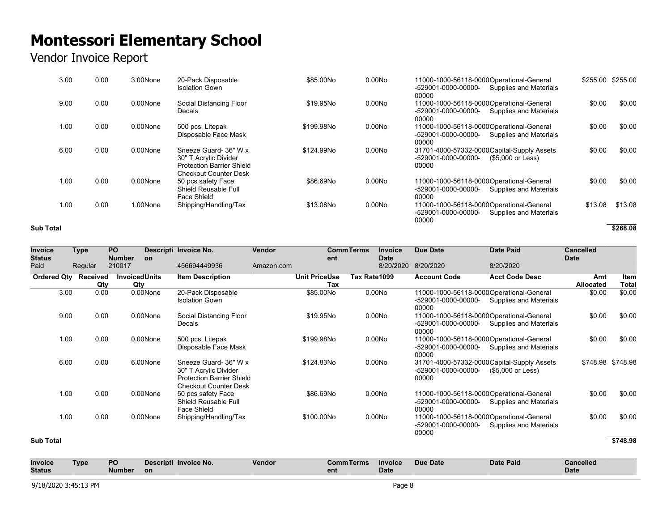## Vendor Invoice Report

| 3.00 | 0.00 | 3.00None    | 20-Pack Disposable<br><b>Isolation Gown</b>                                                                        | \$85,00No  | 0.00N <sub>O</sub> | 11000-1000-56118-0000 Operational-General<br><b>Supplies and Materials</b><br>-529001-0000-00000-<br>00000 | \$255.00 | \$255.00 |
|------|------|-------------|--------------------------------------------------------------------------------------------------------------------|------------|--------------------|------------------------------------------------------------------------------------------------------------|----------|----------|
| 9.00 | 0.00 | $0.00$ None | Social Distancing Floor<br><b>Decals</b>                                                                           | \$19.95No  | 0.00N <sub>O</sub> | 11000-1000-56118-0000 Operational-General<br>-529001-0000-00000-<br>Supplies and Materials<br>00000        | \$0.00   | \$0.00   |
| 1.00 | 0.00 | 0.00None    | 500 pcs. Litepak<br>Disposable Face Mask                                                                           | \$199.98No | 0.00N <sub>O</sub> | 11000-1000-56118-0000 Operational-General<br>-529001-0000-00000-<br>Supplies and Materials<br>00000        | \$0.00   | \$0.00   |
| 6.00 | 0.00 | $0.00$ None | Sneeze Guard- 36" W x<br>30" T Acrylic Divider<br><b>Protection Barrier Shield</b><br><b>Checkout Counter Desk</b> | \$124.99No | 0.00N <sub>O</sub> | 31701-4000-57332-0000Capital-Supply Assets<br>-529001-0000-00000-<br>(\$5,000 or Less)<br>00000            | \$0.00   | \$0.00   |
| 1.00 | 0.00 | $0.00$ None | 50 pcs safety Face<br>Shield Reusable Full<br>Face Shield                                                          | \$86,69No  | 0.00N <sub>O</sub> | 11000-1000-56118-0000 Operational-General<br>-529001-0000-00000-<br>Supplies and Materials<br>00000        | \$0.00   | \$0.00   |
| 1.00 | 0.00 | 1.00None    | Shipping/Handling/Tax                                                                                              | \$13,08No  | 0.00N <sub>O</sub> | 11000-1000-56118-0000 Operational-General<br>-529001-0000-00000-<br>Supplies and Materials<br>00000        | \$13.08  | \$13.08  |

#### **Sub Total \$268.08**

| <b>Invoice</b>        | <b>Type</b>     | <b>PO</b>                   |          | Descripti Invoice No.                                                                                              | Vendor     |                             | <b>CommTerms</b> | <b>Invoice</b>           | <b>Due Date</b>                                                           | <b>Date Paid</b>                                                 | <b>Cancelled</b>        |                      |
|-----------------------|-----------------|-----------------------------|----------|--------------------------------------------------------------------------------------------------------------------|------------|-----------------------------|------------------|--------------------------|---------------------------------------------------------------------------|------------------------------------------------------------------|-------------------------|----------------------|
| <b>Status</b><br>Paid | Regular         | <b>Number</b><br>210017     | on       | 456694449936                                                                                                       | Amazon.com | ent                         |                  | <b>Date</b><br>8/20/2020 | 8/20/2020                                                                 | 8/20/2020                                                        | <b>Date</b>             |                      |
| <b>Ordered Qty</b>    | Received<br>Qty | <b>InvoicedUnits</b><br>Qty |          | <b>Item Description</b>                                                                                            |            | <b>Unit PriceUse</b><br>Tax | Tax Rate1099     |                          | <b>Account Code</b>                                                       | <b>Acct Code Desc</b>                                            | Amt<br><b>Allocated</b> | Item<br><b>Total</b> |
| 3.00                  | 0.00            |                             | 0.00None | 20-Pack Disposable<br><b>Isolation Gown</b>                                                                        |            | \$85.00No                   |                  | 0.00N <sub>O</sub>       | 11000-1000-56118-0000Operational-General<br>-529001-0000-00000-<br>00000  | Supplies and Materials                                           | \$0.00                  | \$0.00               |
| 9.00                  | 0.00            |                             | 0.00None | Social Distancing Floor<br>Decals                                                                                  |            | \$19.95No                   |                  | 0.00N <sub>O</sub>       | 11000-1000-56118-0000Operational-General<br>-529001-0000-00000-<br>00000  | Supplies and Materials                                           | \$0.00                  | \$0.00               |
| 1.00                  | 0.00            |                             | 0.00None | 500 pcs. Litepak<br>Disposable Face Mask                                                                           |            | \$199.98No                  |                  | 0.00N <sub>O</sub>       | 11000-1000-56118-0000Operational-General<br>-529001-0000-00000-<br>00000  | Supplies and Materials                                           | \$0.00                  | \$0.00               |
| 6.00                  | 0.00            |                             | 6.00None | Sneeze Guard- 36" W x<br>30" T Acrylic Divider<br><b>Protection Barrier Shield</b><br><b>Checkout Counter Desk</b> |            | \$124,83No                  |                  | 0.00N <sub>O</sub>       | -529001-0000-00000-<br>00000                                              | 31701-4000-57332-0000 Capital-Supply Assets<br>(\$5,000 or Less) |                         | \$748.98 \$748.98    |
| 1.00                  | 0.00            |                             | 0.00None | 50 pcs safety Face<br>Shield Reusable Full<br>Face Shield                                                          |            | \$86,69No                   |                  | 0.00N <sub>O</sub>       | 11000-1000-56118-0000 Operational-General<br>-529001-0000-00000-<br>00000 | Supplies and Materials                                           | \$0.00                  | \$0.00               |
| 1.00                  | 0.00            |                             | 0.00None | Shipping/Handling/Tax                                                                                              |            | \$100.00No                  |                  | 0.00N <sub>O</sub>       | 11000-1000-56118-0000 Operational-General<br>-529001-0000-00000-<br>00000 | Supplies and Materials                                           | \$0.00                  | \$0.00               |

#### **Sub Total \$748.98**

| <b>Invoice</b><br><b>Status</b> | Гуре | PO<br>Number | Descripti Invoice No.<br>on | Vendor | <b>Comm Terms</b><br>ent | <b>Invoice</b><br>Date | Due Date | Date Paid | <b>Cancelled</b><br><b>Date</b> |
|---------------------------------|------|--------------|-----------------------------|--------|--------------------------|------------------------|----------|-----------|---------------------------------|
| 9/18/2020 3:45:13 PM<br>Page &  |      |              |                             |        |                          |                        |          |           |                                 |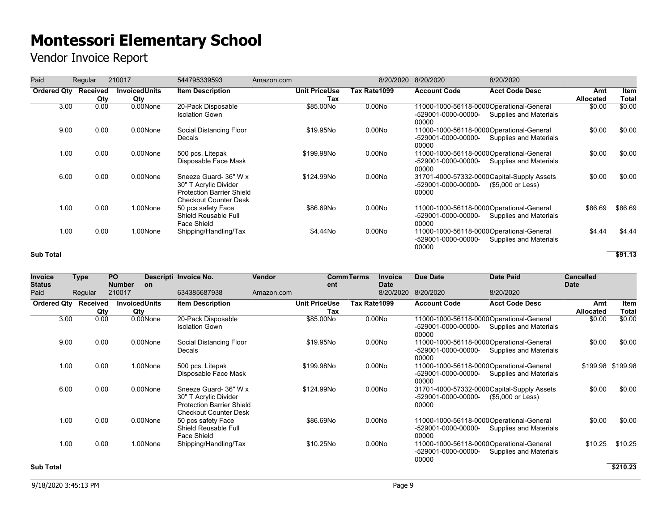| Paid               | Regular         | 210017                      | 544795339593                                                                                                       | Amazon.com |                             | 8/20/2020          | 8/20/2020                    | 8/20/2020                                                           |                  |                      |
|--------------------|-----------------|-----------------------------|--------------------------------------------------------------------------------------------------------------------|------------|-----------------------------|--------------------|------------------------------|---------------------------------------------------------------------|------------------|----------------------|
| <b>Ordered Qty</b> | Received<br>Qty | <b>InvoicedUnits</b><br>Qty | <b>Item Description</b>                                                                                            |            | <b>Unit PriceUse</b><br>Tax | Tax Rate1099       | <b>Account Code</b>          | <b>Acct Code Desc</b>                                               | Amt<br>Allocated | <b>Item</b><br>Total |
| 3.00               | 0.00            | 0.00None                    | 20-Pack Disposable<br><b>Isolation Gown</b>                                                                        |            | \$85.00No                   | 0.00N <sub>O</sub> | -529001-0000-00000-<br>00000 | 11000-1000-56118-0000Operational-General<br>Supplies and Materials  | \$0.00           | \$0.00               |
| 9.00               | 0.00            | 0.00None                    | Social Distancing Floor<br>Decals                                                                                  |            | \$19.95No                   | 0.00N <sub>O</sub> | -529001-0000-00000-<br>00000 | 11000-1000-56118-0000 Operational-General<br>Supplies and Materials | \$0.00           | \$0.00               |
| 1.00               | 0.00            | 0.00None                    | 500 pcs. Litepak<br>Disposable Face Mask                                                                           |            | \$199.98No                  | 0.00N <sub>O</sub> | -529001-0000-00000-<br>00000 | 11000-1000-56118-0000 Operational-General<br>Supplies and Materials | \$0.00           | \$0.00               |
| 6.00               | 0.00            | 0.00None                    | Sneeze Guard- 36" W x<br>30" T Acrylic Divider<br><b>Protection Barrier Shield</b><br><b>Checkout Counter Desk</b> |            | \$124.99No                  | 0.00N <sub>O</sub> | -529001-0000-00000-<br>00000 | 31701-4000-57332-0000 Capital-Supply Assets<br>(\$5,000 or Less)    | \$0.00           | \$0.00               |
| 1.00               | 0.00            | 1.00None                    | 50 pcs safety Face<br>Shield Reusable Full<br>Face Shield                                                          |            | \$86,69No                   | 0.00N <sub>O</sub> | -529001-0000-00000-<br>00000 | 11000-1000-56118-0000 Operational-General<br>Supplies and Materials | \$86.69          | \$86.69              |
| 1.00               | 0.00            | 1.00None                    | Shipping/Handling/Tax                                                                                              |            | \$4.44No                    | 0.00N <sub>O</sub> | -529001-0000-00000-<br>00000 | 11000-1000-56118-0000 Operational-General<br>Supplies and Materials | \$4.44           | \$4.44               |
| <b>Sub Total</b>   |                 |                             |                                                                                                                    |            |                             |                    |                              |                                                                     |                  | \$91.13              |

| <b>Invoice</b><br><b>Status</b> | <b>Type</b> | <b>PO</b><br><b>Number</b> | <b>on</b>                   | Descripti Invoice No.                                                                                              | Vendor     | ent                         | <b>CommTerms</b> | <b>Invoice</b><br><b>Date</b> | <b>Due Date</b>                                                           | <b>Date Paid</b>                                                 | <b>Cancelled</b><br><b>Date</b> |                      |
|---------------------------------|-------------|----------------------------|-----------------------------|--------------------------------------------------------------------------------------------------------------------|------------|-----------------------------|------------------|-------------------------------|---------------------------------------------------------------------------|------------------------------------------------------------------|---------------------------------|----------------------|
| Paid                            | Regular     | 210017                     |                             | 634385687938                                                                                                       | Amazon.com |                             |                  | 8/20/2020                     | 8/20/2020                                                                 | 8/20/2020                                                        |                                 |                      |
| Ordered Qty Received            | Qty         |                            | <b>InvoicedUnits</b><br>Qty | <b>Item Description</b>                                                                                            |            | <b>Unit PriceUse</b><br>Tax | Tax Rate1099     |                               | <b>Account Code</b>                                                       | <b>Acct Code Desc</b>                                            | Amt<br>Allocated                | Item<br><b>Total</b> |
| 3.00                            | 0.00        |                            | 0.00None                    | 20-Pack Disposable<br><b>Isolation Gown</b>                                                                        |            | \$85.00No                   |                  | 0.00N <sub>O</sub>            | 11000-1000-56118-0000Operational-General<br>-529001-0000-00000-<br>00000  | Supplies and Materials                                           | \$0.00                          | \$0.00               |
| 9.00                            | 0.00        |                            | 0.00None                    | Social Distancing Floor<br>Decals                                                                                  |            | \$19.95No                   |                  | 0.00N <sub>O</sub>            | 11000-1000-56118-0000Operational-General<br>-529001-0000-00000-<br>00000  | Supplies and Materials                                           | \$0.00                          | \$0.00               |
| 1.00                            | 0.00        |                            | 1.00None                    | 500 pcs. Litepak<br>Disposable Face Mask                                                                           |            | \$199.98No                  |                  | 0.00N <sub>O</sub>            | 11000-1000-56118-0000 Operational-General<br>-529001-0000-00000-<br>00000 | Supplies and Materials                                           |                                 | \$199.98 \$199.98    |
| 6.00                            | 0.00        |                            | 0.00None                    | Sneeze Guard- 36" W x<br>30" T Acrylic Divider<br><b>Protection Barrier Shield</b><br><b>Checkout Counter Desk</b> |            | \$124.99No                  |                  | 0.00N <sub>O</sub>            | -529001-0000-00000-<br>00000                                              | 31701-4000-57332-0000 Capital-Supply Assets<br>(\$5,000 or Less) | \$0.00                          | \$0.00               |
| 1.00                            | 0.00        |                            | 0.00None                    | 50 pcs safety Face<br>Shield Reusable Full<br>Face Shield                                                          |            | \$86.69No                   |                  | 0.00N <sub>O</sub>            | 11000-1000-56118-0000 Operational-General<br>-529001-0000-00000-<br>00000 | Supplies and Materials                                           | \$0.00                          | \$0.00               |
| 1.00                            | 0.00        |                            | 1.00None                    | Shipping/Handling/Tax                                                                                              |            | \$10.25No                   |                  | 0.00N <sub>O</sub>            | 11000-1000-56118-0000Operational-General<br>-529001-0000-00000-<br>00000  | Supplies and Materials                                           | \$10.25                         | \$10.25              |
| <b>Sub Total</b>                |             |                            |                             |                                                                                                                    |            |                             |                  |                               |                                                                           |                                                                  |                                 | \$210.23             |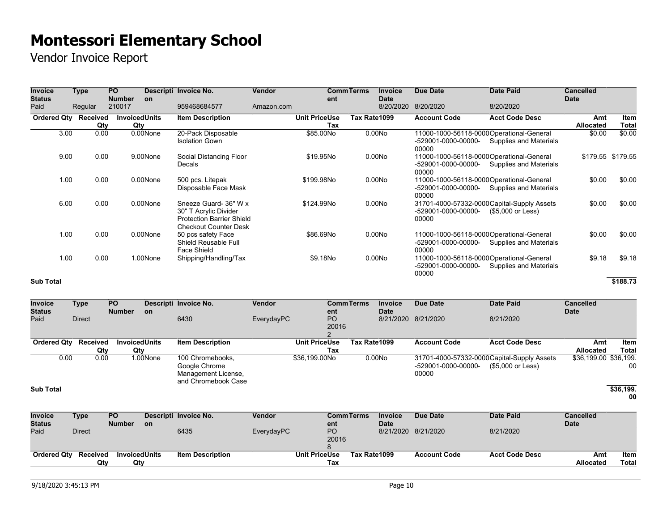Vendor Invoice Report

| <b>Invoice</b>        | <b>Type</b> | <b>PO</b>                   |          | Descripti Invoice No.                                                                                              | Vendor     |                             | <b>CommTerms</b> | <b>Invoice</b>           | <b>Due Date</b>                                                          | <b>Date Paid</b>                                                 | <b>Cancelled</b>        |                      |
|-----------------------|-------------|-----------------------------|----------|--------------------------------------------------------------------------------------------------------------------|------------|-----------------------------|------------------|--------------------------|--------------------------------------------------------------------------|------------------------------------------------------------------|-------------------------|----------------------|
| <b>Status</b><br>Paid | Regular     | <b>Number</b><br>210017     | on       | 959468684577                                                                                                       | Amazon.com | ent                         |                  | <b>Date</b><br>8/20/2020 | 8/20/2020                                                                | 8/20/2020                                                        | <b>Date</b>             |                      |
| Ordered Qty Received  | Qty         | <b>InvoicedUnits</b><br>Qty |          | <b>Item Description</b>                                                                                            |            | <b>Unit PriceUse</b><br>Tax | Tax Rate1099     |                          | <b>Account Code</b>                                                      | <b>Acct Code Desc</b>                                            | Amt<br><b>Allocated</b> | Item<br><b>Total</b> |
| 3.00                  | 0.00        |                             | 0.00None | 20-Pack Disposable<br><b>Isolation Gown</b>                                                                        |            | \$85.00No                   |                  | 0.00N <sub>O</sub>       | 11000-1000-56118-0000Operational-General<br>-529001-0000-00000-<br>00000 | Supplies and Materials                                           | \$0.00                  | \$0.00               |
| 9.00                  | 0.00        |                             | 9.00None | Social Distancing Floor<br>Decals                                                                                  |            | \$19.95No                   |                  | 0.00N <sub>O</sub>       | 11000-1000-56118-0000Operational-General<br>-529001-0000-00000-<br>00000 | Supplies and Materials                                           |                         | \$179.55 \$179.55    |
| 1.00                  | 0.00        |                             | 0.00None | 500 pcs. Litepak<br>Disposable Face Mask                                                                           |            | \$199.98No                  |                  | 0.00N <sub>O</sub>       | 11000-1000-56118-0000Operational-General<br>-529001-0000-00000-<br>00000 | Supplies and Materials                                           | \$0.00                  | \$0.00               |
| 6.00                  | 0.00        |                             | 0.00None | Sneeze Guard- 36" W x<br>30" T Acrylic Divider<br><b>Protection Barrier Shield</b><br><b>Checkout Counter Desk</b> |            | \$124.99No                  |                  | 0.00N <sub>O</sub>       | -529001-0000-00000-<br>00000                                             | 31701-4000-57332-0000 Capital-Supply Assets<br>(\$5,000 or Less) | \$0.00                  | \$0.00               |
| 1.00                  | 0.00        |                             | 0.00None | 50 pcs safety Face<br>Shield Reusable Full<br>Face Shield                                                          |            | \$86.69No                   |                  | 0.00N <sub>O</sub>       | 11000-1000-56118-0000Operational-General<br>-529001-0000-00000-<br>00000 | Supplies and Materials                                           | \$0.00                  | \$0.00               |
| 1.00                  | 0.00        |                             | 1.00None | Shipping/Handling/Tax                                                                                              |            | \$9.18No                    |                  | 0.00N <sub>O</sub>       | 11000-1000-56118-0000Operational-General<br>-529001-0000-00000-<br>00000 | Supplies and Materials                                           | \$9.18                  | \$9.18               |

### **Sub Total \$188.73**

| <b>Invoice</b><br><b>Status</b> | Type                                                                      | <b>PO</b><br><b>Number</b>         | <b>on</b> | Descripti Invoice No.                                                           | <b>Vendor</b> | ent                         | <b>CommTerms</b> | <b>Invoice</b><br><b>Date</b> | Due Date                     | <b>Date Paid</b>                                                 | <b>Cancelled</b><br><b>Date</b> |                 |
|---------------------------------|---------------------------------------------------------------------------|------------------------------------|-----------|---------------------------------------------------------------------------------|---------------|-----------------------------|------------------|-------------------------------|------------------------------|------------------------------------------------------------------|---------------------------------|-----------------|
| Paid                            | <b>Direct</b>                                                             |                                    |           | 6430                                                                            | EverydayPC    | P <sub>O</sub><br>20016     |                  | 8/21/2020                     | 8/21/2020                    | 8/21/2020                                                        |                                 |                 |
|                                 |                                                                           |                                    |           |                                                                                 |               |                             |                  |                               |                              |                                                                  |                                 |                 |
| <b>Ordered Qty</b>              | Received                                                                  | <b>InvoicedUnits</b><br>Qty<br>Qty |           | <b>Item Description</b>                                                         |               | <b>Unit PriceUse</b><br>Tax | Tax Rate1099     |                               | <b>Account Code</b>          | <b>Acct Code Desc</b>                                            | Amt<br>Allocated                | Item<br>Total   |
| 0.00                            | 0.00                                                                      |                                    | 1.00None  | 100 Chromebooks,<br>Google Chrome<br>Management License,<br>and Chromebook Case |               | \$36,199.00No               |                  | 0.00N <sub>o</sub>            | -529001-0000-00000-<br>00000 | 31701-4000-57332-0000 Capital-Supply Assets<br>(\$5,000 or Less) | \$36,199.00 \$36,199.           | 00              |
| <b>Sub Total</b>                |                                                                           |                                    |           |                                                                                 |               |                             |                  |                               |                              |                                                                  |                                 | \$36,199.<br>00 |
| <b>Invoice</b>                  | Type                                                                      | <b>PO</b>                          |           | Descripti Invoice No.                                                           | Vendor        |                             | <b>CommTerms</b> | <b>Invoice</b>                | Due Date                     | <b>Date Paid</b>                                                 | <b>Cancelled</b>                |                 |
| <b>Status</b>                   |                                                                           | <b>Number</b>                      | <b>on</b> |                                                                                 |               | ent                         |                  | <b>Date</b>                   |                              |                                                                  | <b>Date</b>                     |                 |
| Paid                            | <b>Direct</b>                                                             |                                    |           | 6435                                                                            | EverydayPC    | PO<br>20016                 |                  | 8/21/2020                     | 8/21/2020                    | 8/21/2020                                                        |                                 |                 |
| <b>Ordered Qty</b>              | Received<br><b>InvoicedUnits</b><br><b>Item Description</b><br>Qty<br>Qty |                                    |           |                                                                                 |               | <b>Unit PriceUse</b><br>Tax | Tax Rate1099     |                               | <b>Account Code</b>          | <b>Acct Code Desc</b>                                            | Amt<br><b>Allocated</b>         | Item<br>Total   |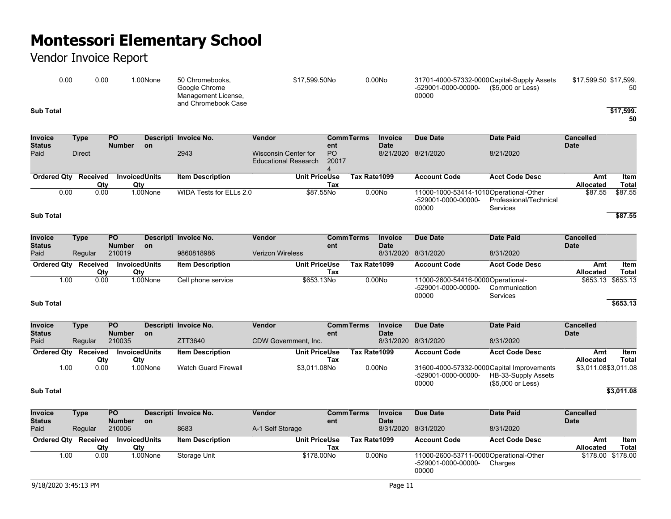|                       | 0.00                 | 0.00        |                             | 1.00None | 50 Chromebooks,<br>Google Chrome<br>Management License,<br>and Chromebook Case |                                                            | \$17,599.50No        |                                                         |              | 0.00N <sub>O</sub>       | 31701-4000-57332-0000 Capital-Supply Assets<br>-529001-0000-00000-<br>00000 | (\$5,000 or Less)                         | \$17,599.50 \$17,599. | 50                   |
|-----------------------|----------------------|-------------|-----------------------------|----------|--------------------------------------------------------------------------------|------------------------------------------------------------|----------------------|---------------------------------------------------------|--------------|--------------------------|-----------------------------------------------------------------------------|-------------------------------------------|-----------------------|----------------------|
| <b>Sub Total</b>      |                      |             |                             |          |                                                                                |                                                            |                      |                                                         |              |                          |                                                                             |                                           |                       | \$17,599.<br>50      |
| <b>Invoice</b>        | <b>Type</b>          |             | $\overline{PQ}$             |          | Descripti Invoice No.                                                          | Vendor                                                     |                      | <b>CommTerms</b>                                        |              | <b>Invoice</b>           | <b>Due Date</b>                                                             | <b>Date Paid</b>                          | <b>Cancelled</b>      |                      |
| <b>Status</b><br>Paid | <b>Direct</b>        |             | <b>Number</b>               | on       | 2943                                                                           | <b>Wisconsin Center for</b><br><b>Educational Research</b> |                      | ent<br>P <sub>O</sub><br>20017<br>$\boldsymbol{\Delta}$ |              | <b>Date</b>              | 8/21/2020 8/21/2020                                                         | 8/21/2020                                 | <b>Date</b>           |                      |
|                       | Ordered Qty Received |             | <b>InvoicedUnits</b>        |          | <b>Item Description</b>                                                        |                                                            | <b>Unit PriceUse</b> |                                                         | Tax Rate1099 |                          | <b>Account Code</b>                                                         | <b>Acct Code Desc</b>                     | Amt                   | Item                 |
|                       |                      | Qty         | Qty                         |          |                                                                                |                                                            |                      | Tax                                                     |              |                          |                                                                             |                                           | Allocated             | <b>Total</b>         |
|                       | 0.00                 | 0.00        |                             | 1.00None | <b>WIDA Tests for ELLs 2.0</b>                                                 |                                                            | \$87.55No            |                                                         |              | 0.00N <sub>o</sub>       | 11000-1000-53414-1010Operational-Other<br>-529001-0000-00000-<br>00000      | Professional/Technical<br><b>Services</b> | \$87.55               | \$87.55              |
| <b>Sub Total</b>      |                      |             |                             |          |                                                                                |                                                            |                      |                                                         |              |                          |                                                                             |                                           |                       | \$87.55              |
| <b>Invoice</b>        | <b>Type</b>          |             | $\overline{PQ}$             |          | Descripti Invoice No.                                                          | Vendor                                                     |                      | <b>CommTerms</b>                                        |              | <b>Invoice</b>           | <b>Due Date</b>                                                             | <b>Date Paid</b>                          | <b>Cancelled</b>      |                      |
| <b>Status</b><br>Paid |                      | Regular     | <b>Number</b><br>210019     | on       | 9860818986                                                                     | <b>Verizon Wireless</b>                                    |                      | ent                                                     |              | <b>Date</b><br>8/31/2020 | 8/31/2020                                                                   | 8/31/2020                                 | <b>Date</b>           |                      |
|                       | Ordered Qty Received | Qty         | <b>InvoicedUnits</b><br>Qty |          | <b>Item Description</b>                                                        |                                                            | <b>Unit PriceUse</b> | Tax                                                     | Tax Rate1099 |                          | <b>Account Code</b>                                                         | <b>Acct Code Desc</b>                     | Amt<br>Allocated      | Item<br><b>Total</b> |
|                       | 1.00                 | 0.00        |                             | 1.00None | Cell phone service                                                             |                                                            | \$653.13No           |                                                         |              | 0.00N <sub>o</sub>       | 11000-2600-54416-0000Operational-<br>-529001-0000-00000-<br>00000           | Communication<br><b>Services</b>          |                       | \$653.13 \$653.13    |
| <b>Sub Total</b>      |                      |             |                             |          |                                                                                |                                                            |                      |                                                         |              |                          |                                                                             |                                           |                       | \$653.13             |
| <b>Invoice</b>        | Type                 |             | <b>PO</b>                   |          | Descripti Invoice No.                                                          | Vendor                                                     |                      | <b>CommTerms</b>                                        |              | Invoice                  | <b>Due Date</b>                                                             | <b>Date Paid</b>                          | <b>Cancelled</b>      |                      |
| <b>Status</b><br>Paid | Regular              |             | <b>Number</b><br>210035     | on       | ZTT3640                                                                        | CDW Government, Inc.                                       |                      | ent                                                     |              | <b>Date</b><br>8/31/2020 | 8/31/2020                                                                   | 8/31/2020                                 | <b>Date</b>           |                      |
| <b>Ordered Qty</b>    |                      | Received    | <b>InvoicedUnits</b><br>Qty |          | <b>Item Description</b>                                                        |                                                            | <b>Unit PriceUse</b> | Tax                                                     | Tax Rate1099 |                          | <b>Account Code</b>                                                         | <b>Acct Code Desc</b>                     | Amt<br>Allocated      | Item<br><b>Total</b> |
|                       | 1.00                 | Qty<br>0.00 |                             | 1.00None | <b>Watch Guard Firewall</b>                                                    |                                                            | \$3,011.08No         |                                                         |              | 0.00No                   | 31600-4000-57332-0000Capital Improvements<br>-529001-0000-00000-            | HB-33-Supply Assets                       | \$3,011.08\$3,011.08  |                      |
| <b>Sub Total</b>      |                      |             |                             |          |                                                                                |                                                            |                      |                                                         |              |                          | 00000                                                                       | (\$5,000 or Less)                         |                       | \$3,011.08           |
| Invoice               | <b>Type</b>          |             | <b>PO</b>                   |          | Descripti Invoice No.                                                          | Vendor                                                     |                      | <b>CommTerms</b>                                        |              | Invoice                  | Due Date                                                                    | <b>Date Paid</b>                          | <b>Cancelled</b>      |                      |
| <b>Status</b>         |                      |             | <b>Number</b>               | on       |                                                                                |                                                            |                      | ent                                                     |              | <b>Date</b>              |                                                                             |                                           | <b>Date</b>           |                      |
| Paid                  | Regular              |             | 210006                      |          | 8683                                                                           | A-1 Self Storage                                           |                      |                                                         |              |                          | 8/31/2020 8/31/2020                                                         | 8/31/2020                                 |                       |                      |
|                       | Ordered Qty Received |             | <b>InvoicedUnits</b>        |          | <b>Item Description</b>                                                        |                                                            | <b>Unit PriceUse</b> |                                                         | Tax Rate1099 |                          | <b>Account Code</b>                                                         | <b>Acct Code Desc</b>                     | Amt                   | Item                 |
|                       |                      | Qty         | Qty                         |          |                                                                                |                                                            |                      | Tax                                                     |              |                          |                                                                             |                                           | Allocated             | <b>Total</b>         |
|                       | 1.00                 | 0.00        |                             | 1.00None | Storage Unit                                                                   |                                                            | \$178,00No           |                                                         |              | 0.00N <sub>O</sub>       | 11000-2600-53711-0000Operational-Other<br>-529001-0000-00000-<br>00000      | Charges                                   | \$178.00              | \$178.00             |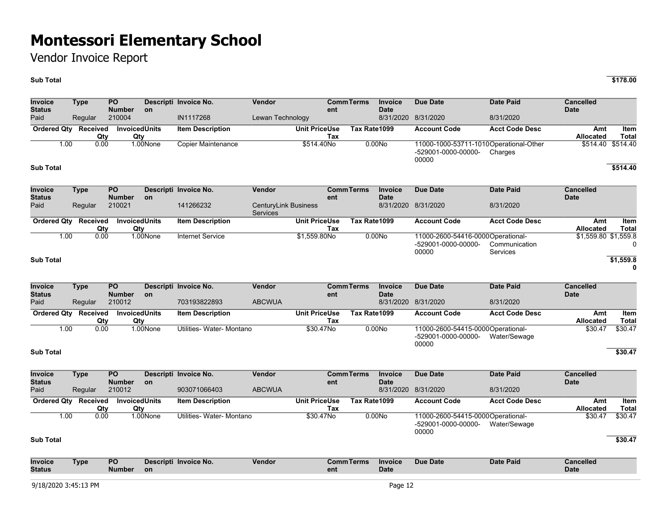### Vendor Invoice Report

### **Sub Total \$178.00**

**Invoice Status Type PO Number Descripti Invoice No. Vendor Comm on ent CommTerms Invoice Date Due Date Date Paid Cancelled Date** Paid Regular 210004 IN1117268 Lewan Technology 8/31/2020 8/31/2020 8/31/2020 **Ordered Qty Received Qty**<br>0.00 **Invoiced Units Qty Item Description Unit PriceUse Tax Tax Rate1099 Account Code Acct Code Desc Amt Allocated Item Total** 1.00 0.00 1.00None Copier Maintenance \$514.40No 0.00No 11000-1000-53711-1010 Operational-Other -529001-0000-00000- 00000 Charges \$514.40 \$514.40 **Sub Total \$514.40 Invoice Status Type PO Number Descripti Invoice No. Vendor Comm on ent Terms Invoice Date Due Date Date Paid Cancelled Date** Paid Regular 210021 141266232 CenturyLink Business Services 8/31/2020 8/31/2020 8/31/2020 **Ordered Qty Received Qty Invoiced Units Qty Item Description Unit PriceUse Tax Tax Rate1099 Account Code Acct Code Desc Amt Allocated Item Total** 1.00 0.00 1.00None Internet Service \$1,559.80No 0.00No 11000-2600-54416-0000 Operational--529001-0000-00000- 00000 Communication **Services** \$1,559.80 \$1,559.8  $\Omega$ **Sub Total \$1,559.8 0 Invoice Status Type PO Number Descripti Invoice No. Vendor Comm on ent CommTerms Invoice Date Due Date Date Paid Cancelled Date** Paid Regular 210012 703193822893 ABCWUA 8/31/2020 8/31/2020 8/31/2020 **Ordered Qty Received Qty Invoiced Units Qty Item Description Unit PriceUse Tax Tax Rate1099 Account Code Acct Code Desc Amt Allocated Item Total** 1.00 0.00 1.00None Utilities- Water- Montano \$30.47No 0.00No 11000-2600-54415-0000 Operational--529001-0000-00000- 00000 Water/Sewage \$30.47 \$30.47 **Sub Total \$30.47 Invoice Status Type PO Number Descripti Invoice No. Vendor Comm on ent CommTerms Invoice Date Due Date Date Paid Cancelled Date** Paid Regular 210012 903071066403 ABCWUA 8/31/2020 8/31/2020 8/31/2020 **Ordered Qty Received Qty Invoiced Units Qty Item Description Unit PriceUse Tax Tax Rate1099 Account Code Acct Code Desc Amt Allocated Item Total** 1.00 0.00 1.00None Utilities-Water-Montano \$30.47No 0.00No -529001-0000-00000- 00000 11000-2600-54415-0000Operational-Water/Sewage \$30.47 \$30.47 **Sub Total \$30.47 Invoice Status Type PO Number Descripti Invoice No. Vendor Comm on ent CommTerms Invoice Date Due Date Date Paid Cancelled Date**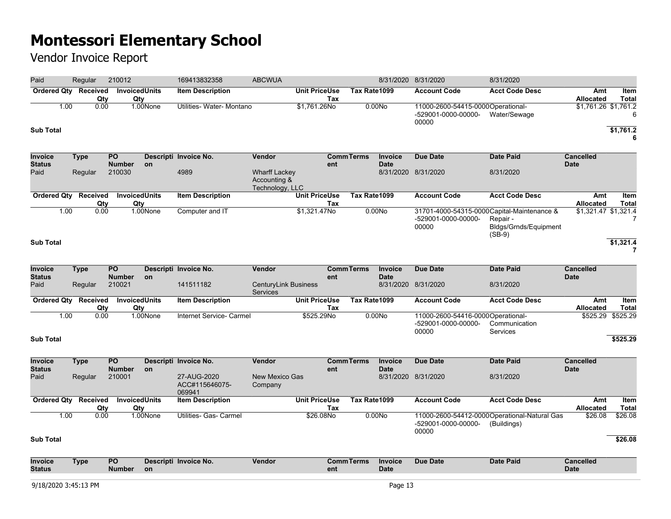| Paid                            | Regular     | 210012                           |                             | 169413832358                            | <b>ABCWUA</b>                                           |                             |                  |                               | 8/31/2020 8/31/2020                                               | 8/31/2020                                                                                   |                                 |                      |
|---------------------------------|-------------|----------------------------------|-----------------------------|-----------------------------------------|---------------------------------------------------------|-----------------------------|------------------|-------------------------------|-------------------------------------------------------------------|---------------------------------------------------------------------------------------------|---------------------------------|----------------------|
| <b>Ordered Qty Received</b>     |             | Qty                              | <b>InvoicedUnits</b><br>Qty | <b>Item Description</b>                 |                                                         | <b>Unit PriceUse</b><br>Tax | Tax Rate1099     |                               | <b>Account Code</b>                                               | <b>Acct Code Desc</b>                                                                       | Amt<br><b>Allocated</b>         | Item<br><b>Total</b> |
| 1.00<br><b>Sub Total</b>        | 0.00        |                                  | 1.00None                    | Utilities- Water- Montano               |                                                         | \$1,761.26No                |                  | 0.00No                        | 11000-2600-54415-0000Operational-<br>-529001-0000-00000-<br>00000 | Water/Sewage                                                                                | $$1,761.26$ \$1,761.2           | 6<br>\$1,761.2<br>6  |
| <b>Invoice</b>                  | <b>Type</b> | PO                               |                             | Descripti Invoice No.                   | Vendor                                                  |                             | <b>CommTerms</b> | <b>Invoice</b>                | <b>Due Date</b>                                                   | <b>Date Paid</b>                                                                            | <b>Cancelled</b>                |                      |
| <b>Status</b><br>Paid           | Regular     | <b>Number</b><br>210030          | on                          | 4989                                    | <b>Wharff Lackey</b><br>Accounting &<br>Technology, LLC | ent                         |                  | <b>Date</b>                   | 8/31/2020 8/31/2020                                               | 8/31/2020                                                                                   | <b>Date</b>                     |                      |
| <b>Ordered Qty Received</b>     |             | Qty                              | <b>InvoicedUnits</b><br>Qty | <b>Item Description</b>                 |                                                         | <b>Unit PriceUse</b><br>Tax | Tax Rate1099     |                               | <b>Account Code</b>                                               | <b>Acct Code Desc</b>                                                                       | Amt<br>Allocated                | Item<br><b>Total</b> |
| 1.00<br><b>Sub Total</b>        | 0.00        |                                  | 1.00None                    | Computer and IT                         |                                                         | $\sqrt{31,321.47}$ No       |                  | 0.00N <sub>o</sub>            | -529001-0000-00000-<br>00000                                      | 31701-4000-54315-0000Capital-Maintenance &<br>Repair -<br>Bldgs/Grnds/Equipment<br>$(SB-9)$ | \$1,321.47 \$1,321.4            | 7<br>\$1,321.4       |
|                                 |             |                                  |                             |                                         |                                                         |                             |                  |                               |                                                                   |                                                                                             |                                 | $\overline{7}$       |
| <b>Invoice</b><br><b>Status</b> | <b>Type</b> | $\overline{PQ}$<br><b>Number</b> | on                          | Descripti Invoice No.                   | Vendor                                                  | ent                         | <b>CommTerms</b> | <b>Invoice</b><br><b>Date</b> | <b>Due Date</b>                                                   | <b>Date Paid</b>                                                                            | <b>Cancelled</b><br><b>Date</b> |                      |
| Paid                            | Regular     | 210021                           |                             | 141511182                               | <b>CenturyLink Business</b><br>Services                 |                             |                  |                               | 8/31/2020 8/31/2020                                               | 8/31/2020                                                                                   |                                 |                      |
| <b>Ordered Qty Received</b>     |             | Qty                              | <b>InvoicedUnits</b><br>Qty | <b>Item Description</b>                 |                                                         | <b>Unit PriceUse</b><br>Tax | Tax Rate1099     |                               | <b>Account Code</b>                                               | <b>Acct Code Desc</b>                                                                       | Amt<br>Allocated                | Item<br><b>Total</b> |
| 1.00                            | 0.00        |                                  | 1.00None                    | Internet Service- Carmel                |                                                         | \$525.29No                  |                  | 0.00N <sub>o</sub>            | 11000-2600-54416-0000Operational-<br>-529001-0000-00000-<br>00000 | Communication<br>Services                                                                   | \$525.29                        | \$525.29             |
| <b>Sub Total</b>                |             |                                  |                             |                                         |                                                         |                             |                  |                               |                                                                   |                                                                                             |                                 | \$525.29             |
| Invoice<br><b>Status</b>        | <b>Type</b> | $\overline{PQ}$<br><b>Number</b> | on                          | Descripti Invoice No.                   | Vendor                                                  | ent                         | <b>CommTerms</b> | Invoice<br><b>Date</b>        | <b>Due Date</b>                                                   | <b>Date Paid</b>                                                                            | <b>Cancelled</b><br><b>Date</b> |                      |
| Paid                            | Regular     | 210001                           |                             | 27-AUG-2020<br>ACC#115646075-<br>069941 | New Mexico Gas<br>Company                               |                             |                  |                               | 8/31/2020 8/31/2020                                               | 8/31/2020                                                                                   |                                 |                      |
| Ordered Qty Received            |             | <b>InvoicedUnits</b><br>Qty      | Qty                         | <b>Item Description</b>                 |                                                         | <b>Unit PriceUse</b><br>Tax | Tax Rate1099     |                               | <b>Account Code</b>                                               | <b>Acct Code Desc</b>                                                                       | Amt<br>Allocated                | Item<br><b>Total</b> |
| 1.00                            | 0.00        |                                  | 1.00None                    | Utilities- Gas- Carmel                  |                                                         | \$26.08No                   |                  | 0.00N <sub>o</sub>            | -529001-0000-00000-<br>00000                                      | 11000-2600-54412-0000Operational-Natural Gas<br>(Buildings)                                 | \$26.08                         | \$26.08              |
| <b>Sub Total</b>                |             |                                  |                             |                                         |                                                         |                             |                  |                               |                                                                   |                                                                                             |                                 | \$26.08              |
| Invoice<br><b>Status</b>        | <b>Type</b> | $\overline{PQ}$<br><b>Number</b> | on                          | Descripti Invoice No.                   | Vendor                                                  | ent                         | <b>CommTerms</b> | Invoice<br><b>Date</b>        | <b>Due Date</b>                                                   | <b>Date Paid</b>                                                                            | <b>Cancelled</b><br><b>Date</b> |                      |
| 9/18/2020 3:45:13 PM            |             |                                  |                             |                                         |                                                         |                             |                  | Page 13                       |                                                                   |                                                                                             |                                 |                      |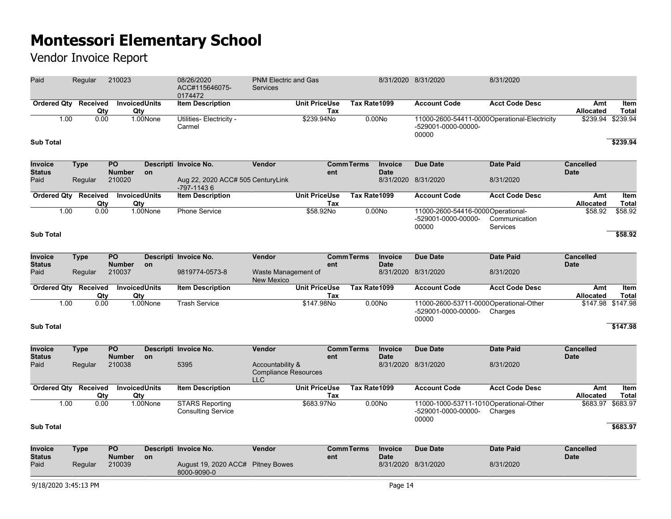| Paid                            | Regular                            | 210023                           |           | 08/26/2020<br>ACC#115646075-<br>0174472             | <b>PNM Electric and Gas</b><br><b>Services</b>                |                             |                   |                        | 8/31/2020 8/31/2020                                                          | 8/31/2020                        |                                 |                                      |
|---------------------------------|------------------------------------|----------------------------------|-----------|-----------------------------------------------------|---------------------------------------------------------------|-----------------------------|-------------------|------------------------|------------------------------------------------------------------------------|----------------------------------|---------------------------------|--------------------------------------|
|                                 | Ordered Qty Received               | <b>InvoicedUnits</b>             |           | <b>Item Description</b>                             |                                                               | <b>Unit PriceUse</b>        | Tax Rate1099      |                        | <b>Account Code</b>                                                          | <b>Acct Code Desc</b>            | Amt                             | Item                                 |
| <b>Sub Total</b>                | Qty<br>0.00<br>1.00                | Qty                              | 1.00None  | Utilities- Electricity -<br>Carmel                  |                                                               | Tax<br>\$239.94No           |                   | 0.00No                 | 11000-2600-54411-0000Operational-Electricity<br>-529001-0000-00000-<br>00000 |                                  | <b>Allocated</b><br>\$239.94    | <b>Total</b><br>\$239.94<br>\$239.94 |
|                                 |                                    |                                  |           |                                                     |                                                               |                             |                   |                        |                                                                              |                                  |                                 |                                      |
| Invoice<br><b>Status</b>        | <b>Type</b>                        | $\overline{PQ}$<br><b>Number</b> | <b>on</b> | Descripti Invoice No.                               | Vendor                                                        | ent                         | <b>CommTerms</b>  | Invoice<br><b>Date</b> | <b>Due Date</b>                                                              | <b>Date Paid</b>                 | <b>Cancelled</b><br><b>Date</b> |                                      |
| Paid                            | Regular                            | 210020                           |           | Aug 22, 2020 ACC# 505 CenturyLink<br>-797-11436     |                                                               |                             |                   |                        | 8/31/2020 8/31/2020                                                          | 8/31/2020                        |                                 |                                      |
|                                 | Ordered Qty Received<br>Qty        | <b>InvoicedUnits</b><br>Qty      |           | <b>Item Description</b>                             |                                                               | <b>Unit PriceUse</b><br>Tax | Tax Rate1099      |                        | <b>Account Code</b>                                                          | <b>Acct Code Desc</b>            | Amt<br><b>Allocated</b>         | Item<br><b>Total</b>                 |
|                                 | 0.00<br>1.00                       |                                  | 1.00None  | <b>Phone Service</b>                                |                                                               | \$58.92No                   |                   | 0.00N <sub>o</sub>     | 11000-2600-54416-0000Operational-<br>-529001-0000-00000-<br>00000            | Communication<br><b>Services</b> | \$58.92                         | \$58.92                              |
| <b>Sub Total</b>                |                                    |                                  |           |                                                     |                                                               |                             |                   |                        |                                                                              |                                  |                                 | \$58.92                              |
| Invoice<br><b>Status</b>        | <b>Type</b>                        | $\overline{PO}$<br><b>Number</b> | on        | Descripti Invoice No.                               | Vendor                                                        | ent                         | <b>Comm Terms</b> | Invoice<br><b>Date</b> | <b>Due Date</b>                                                              | <b>Date Paid</b>                 | <b>Cancelled</b><br><b>Date</b> |                                      |
| Paid                            | Regular                            | 210037                           |           | 9819774-0573-8                                      | Waste Management of<br><b>New Mexico</b>                      |                             |                   |                        | 8/31/2020 8/31/2020                                                          | 8/31/2020                        |                                 |                                      |
|                                 | <b>Ordered Qty Received</b><br>Qty | <b>InvoicedUnits</b><br>Qty      |           | <b>Item Description</b>                             |                                                               | <b>Unit PriceUse</b><br>Tax | Tax Rate1099      |                        | <b>Account Code</b>                                                          | <b>Acct Code Desc</b>            | Amt<br>Allocated                | Item<br><b>Total</b>                 |
|                                 | 0.00<br>1.00                       |                                  | 1.00None  | <b>Trash Service</b>                                |                                                               | \$147.98No                  |                   | 0.00No                 | 11000-2600-53711-0000Operational-Other<br>-529001-0000-00000-<br>00000       | Charges                          |                                 | \$147.98 \$147.98                    |
| <b>Sub Total</b>                |                                    |                                  |           |                                                     |                                                               |                             |                   |                        |                                                                              |                                  |                                 | \$147.98                             |
| <b>Invoice</b><br><b>Status</b> | <b>Type</b>                        | <b>PO</b><br><b>Number</b>       | on        | Descripti Invoice No.                               | Vendor                                                        | ent                         | <b>CommTerms</b>  | Invoice<br><b>Date</b> | Due Date                                                                     | <b>Date Paid</b>                 | <b>Cancelled</b><br><b>Date</b> |                                      |
| Paid                            | Regular                            | 210038                           |           | 5395                                                | Accountability &<br><b>Compliance Resources</b><br><b>LLC</b> |                             |                   |                        | 8/31/2020 8/31/2020                                                          | 8/31/2020                        |                                 |                                      |
|                                 | Ordered Qty Received<br>Qty        | <b>InvoicedUnits</b><br>Qty      |           | <b>Item Description</b>                             |                                                               | <b>Unit PriceUse</b><br>Tax | Tax Rate1099      |                        | <b>Account Code</b>                                                          | <b>Acct Code Desc</b>            | Amt<br><b>Allocated</b>         | Item<br>Total                        |
|                                 | 0.00<br>1.00                       |                                  | 1.00None  | <b>STARS Reporting</b><br><b>Consulting Service</b> |                                                               | \$683.97No                  |                   | 0.00N <sub>O</sub>     | 11000-1000-53711-1010Operational-Other<br>-529001-0000-00000-<br>00000       | Charges                          | \$683.97                        | \$683.97                             |
| <b>Sub Total</b>                |                                    |                                  |           |                                                     |                                                               |                             |                   |                        |                                                                              |                                  |                                 | \$683.97                             |
| Invoice<br><b>Status</b>        | <b>Type</b>                        | $\overline{PQ}$<br><b>Number</b> | <b>on</b> | Descripti Invoice No.                               | Vendor                                                        | ent                         | <b>CommTerms</b>  | Invoice<br><b>Date</b> | <b>Due Date</b>                                                              | <b>Date Paid</b>                 | <b>Cancelled</b><br><b>Date</b> |                                      |
| Paid                            | Regular                            | 210039                           |           | August 19, 2020 ACC# Pitney Bowes<br>8000-9090-0    |                                                               |                             |                   |                        | 8/31/2020 8/31/2020                                                          | 8/31/2020                        |                                 |                                      |
| 9/18/2020 3:45:13 PM            |                                    |                                  |           | Page 14                                             |                                                               |                             |                   |                        |                                                                              |                                  |                                 |                                      |